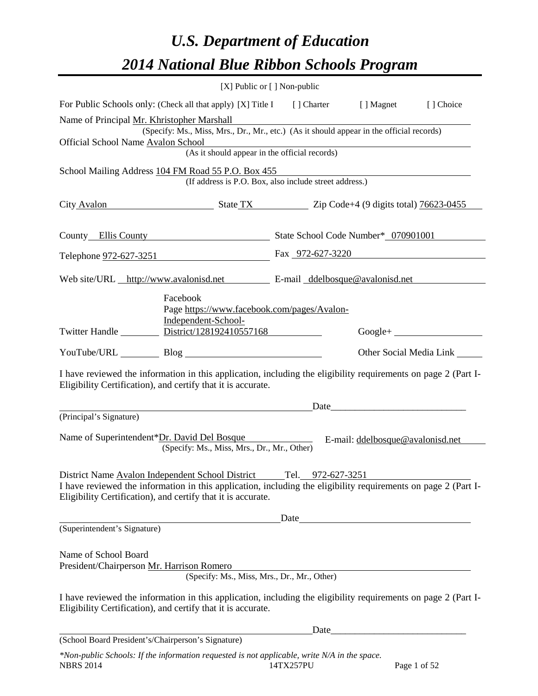# *U.S. Department of Education 2014 National Blue Ribbon Schools Program*

|                                                                                                                                                                                                                                                                   |                                                                                                                                                                                                                                        | [X] Public or [] Non-public                 |                                                           |               |                         |  |  |  |  |
|-------------------------------------------------------------------------------------------------------------------------------------------------------------------------------------------------------------------------------------------------------------------|----------------------------------------------------------------------------------------------------------------------------------------------------------------------------------------------------------------------------------------|---------------------------------------------|-----------------------------------------------------------|---------------|-------------------------|--|--|--|--|
| For Public Schools only: (Check all that apply) [X] Title I [] Charter [] Magnet [] Choice                                                                                                                                                                        |                                                                                                                                                                                                                                        |                                             |                                                           |               |                         |  |  |  |  |
|                                                                                                                                                                                                                                                                   | Name of Principal Mr. Khristopher Marshall<br>(Specify: Ms., Miss, Mrs., Dr., Mr., etc.) (As it should appear in the official records)<br>Official School Name Avalon School<br>chool<br>(As it should appear in the official records) |                                             |                                                           |               |                         |  |  |  |  |
|                                                                                                                                                                                                                                                                   |                                                                                                                                                                                                                                        |                                             |                                                           |               |                         |  |  |  |  |
| School Mailing Address 104 FM Road 55 P.O. Box 455<br>(If address is P.O. Box, also include street address.)                                                                                                                                                      |                                                                                                                                                                                                                                        |                                             |                                                           |               |                         |  |  |  |  |
| City Avalon State TX State TX Zip Code+4 (9 digits total) 76623-0455                                                                                                                                                                                              |                                                                                                                                                                                                                                        |                                             |                                                           |               |                         |  |  |  |  |
| County Ellis County State School Code Number* 070901001                                                                                                                                                                                                           |                                                                                                                                                                                                                                        |                                             |                                                           |               |                         |  |  |  |  |
| Telephone <u>972-627-3251</u> Fax 972-627-3220                                                                                                                                                                                                                    |                                                                                                                                                                                                                                        |                                             |                                                           |               |                         |  |  |  |  |
| Web site/URL http://www.avalonisd.net E-mail ddelbosque@avalonisd.net                                                                                                                                                                                             |                                                                                                                                                                                                                                        |                                             |                                                           |               |                         |  |  |  |  |
| Twitter Handle <b>District</b> /128192410557168                                                                                                                                                                                                                   | Facebook<br>Independent-School-                                                                                                                                                                                                        |                                             | Page https://www.facebook.com/pages/Avalon-               |               | $Google + \_$           |  |  |  |  |
| YouTube/URL Blog Blog                                                                                                                                                                                                                                             |                                                                                                                                                                                                                                        |                                             |                                                           |               | Other Social Media Link |  |  |  |  |
| I have reviewed the information in this application, including the eligibility requirements on page 2 (Part I-<br>Eligibility Certification), and certify that it is accurate.                                                                                    |                                                                                                                                                                                                                                        |                                             |                                                           |               |                         |  |  |  |  |
|                                                                                                                                                                                                                                                                   |                                                                                                                                                                                                                                        | <u> 1980 - Johann Barbara, martin a</u>     |                                                           | Date          |                         |  |  |  |  |
| (Principal's Signature)                                                                                                                                                                                                                                           |                                                                                                                                                                                                                                        |                                             |                                                           |               |                         |  |  |  |  |
| Name of Superintendent*Dr. David Del Bosque<br>E-mail: ddelbosque@avalonisd.net                                                                                                                                                                                   |                                                                                                                                                                                                                                        | (Specify: Ms., Miss, Mrs., Dr., Mr., Other) |                                                           |               |                         |  |  |  |  |
| District Name Avalon Independent School District Tel. 972-627-3251<br>I have reviewed the information in this application, including the eligibility requirements on page $\overline{2}$ (Part I-<br>Eligibility Certification), and certify that it is accurate. |                                                                                                                                                                                                                                        |                                             |                                                           |               |                         |  |  |  |  |
|                                                                                                                                                                                                                                                                   |                                                                                                                                                                                                                                        |                                             |                                                           | $\text{Date}$ |                         |  |  |  |  |
| (Superintendent's Signature)                                                                                                                                                                                                                                      |                                                                                                                                                                                                                                        |                                             |                                                           |               |                         |  |  |  |  |
| Name of School Board<br>President/Chairperson Mr. Harrison Romero                                                                                                                                                                                                 |                                                                                                                                                                                                                                        |                                             | son Romero<br>(Specify: Ms., Miss, Mrs., Dr., Mr., Other) |               |                         |  |  |  |  |
| I have reviewed the information in this application, including the eligibility requirements on page 2 (Part I-<br>Eligibility Certification), and certify that it is accurate.                                                                                    |                                                                                                                                                                                                                                        |                                             |                                                           |               |                         |  |  |  |  |
|                                                                                                                                                                                                                                                                   |                                                                                                                                                                                                                                        |                                             |                                                           |               |                         |  |  |  |  |
| (School Board President's/Chairperson's Signature)                                                                                                                                                                                                                |                                                                                                                                                                                                                                        |                                             |                                                           |               |                         |  |  |  |  |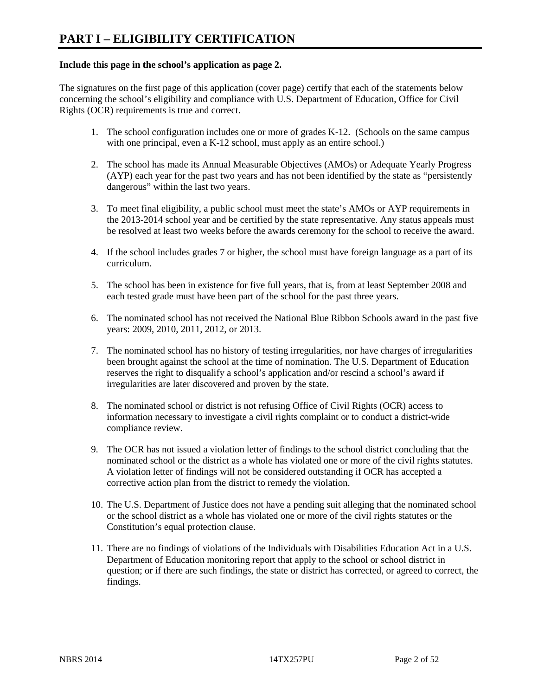## **Include this page in the school's application as page 2.**

The signatures on the first page of this application (cover page) certify that each of the statements below concerning the school's eligibility and compliance with U.S. Department of Education, Office for Civil Rights (OCR) requirements is true and correct.

- 1. The school configuration includes one or more of grades K-12. (Schools on the same campus with one principal, even a K-12 school, must apply as an entire school.)
- 2. The school has made its Annual Measurable Objectives (AMOs) or Adequate Yearly Progress (AYP) each year for the past two years and has not been identified by the state as "persistently dangerous" within the last two years.
- 3. To meet final eligibility, a public school must meet the state's AMOs or AYP requirements in the 2013-2014 school year and be certified by the state representative. Any status appeals must be resolved at least two weeks before the awards ceremony for the school to receive the award.
- 4. If the school includes grades 7 or higher, the school must have foreign language as a part of its curriculum.
- 5. The school has been in existence for five full years, that is, from at least September 2008 and each tested grade must have been part of the school for the past three years.
- 6. The nominated school has not received the National Blue Ribbon Schools award in the past five years: 2009, 2010, 2011, 2012, or 2013.
- 7. The nominated school has no history of testing irregularities, nor have charges of irregularities been brought against the school at the time of nomination. The U.S. Department of Education reserves the right to disqualify a school's application and/or rescind a school's award if irregularities are later discovered and proven by the state.
- 8. The nominated school or district is not refusing Office of Civil Rights (OCR) access to information necessary to investigate a civil rights complaint or to conduct a district-wide compliance review.
- 9. The OCR has not issued a violation letter of findings to the school district concluding that the nominated school or the district as a whole has violated one or more of the civil rights statutes. A violation letter of findings will not be considered outstanding if OCR has accepted a corrective action plan from the district to remedy the violation.
- 10. The U.S. Department of Justice does not have a pending suit alleging that the nominated school or the school district as a whole has violated one or more of the civil rights statutes or the Constitution's equal protection clause.
- 11. There are no findings of violations of the Individuals with Disabilities Education Act in a U.S. Department of Education monitoring report that apply to the school or school district in question; or if there are such findings, the state or district has corrected, or agreed to correct, the findings.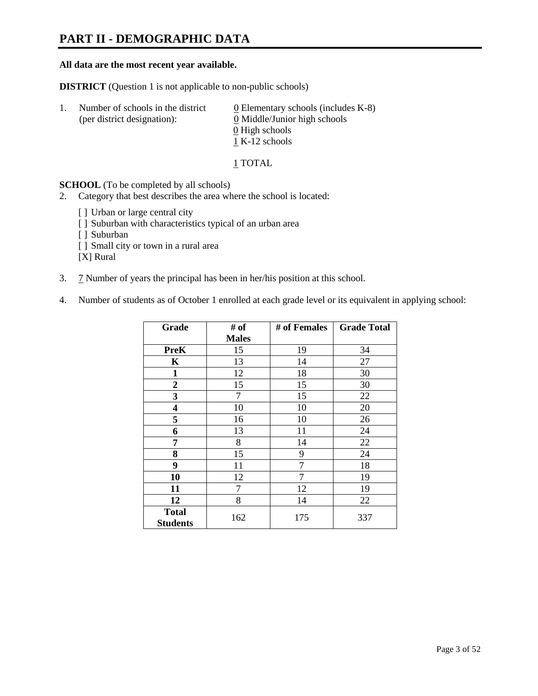## **PART II - DEMOGRAPHIC DATA**

## **All data are the most recent year available.**

**DISTRICT** (Question 1 is not applicable to non-public schools)

| -1. | Number of schools in the district<br>(per district designation): | $\underline{0}$ Elementary schools (includes K-8)<br>0 Middle/Junior high schools<br>0 High schools |
|-----|------------------------------------------------------------------|-----------------------------------------------------------------------------------------------------|
|     |                                                                  | 1 K-12 schools                                                                                      |

1 TOTAL

**SCHOOL** (To be completed by all schools)

- 2. Category that best describes the area where the school is located:
	- [] Urban or large central city
	- [ ] Suburban with characteristics typical of an urban area
	- [ ] Suburban
	- [ ] Small city or town in a rural area

[X] Rural

- 3. 7 Number of years the principal has been in her/his position at this school.
- 4. Number of students as of October 1 enrolled at each grade level or its equivalent in applying school:

| Grade                           | # of         | # of Females | <b>Grade Total</b> |
|---------------------------------|--------------|--------------|--------------------|
|                                 | <b>Males</b> |              |                    |
| <b>PreK</b>                     | 15           | 19           | 34                 |
| K                               | 13           | 14           | 27                 |
| $\mathbf{1}$                    | 12           | 18           | 30                 |
| 2                               | 15           | 15           | 30                 |
| 3                               | 7            | 15           | 22                 |
| 4                               | 10           | 10           | 20                 |
| 5                               | 16           | 10           | 26                 |
| 6                               | 13           | 11           | 24                 |
| 7                               | 8            | 14           | 22                 |
| 8                               | 15           | 9            | 24                 |
| 9                               | 11           | 7            | 18                 |
| 10                              | 12           | 7            | 19                 |
| 11                              | 7            | 12           | 19                 |
| 12                              | 8            | 14           | 22                 |
| <b>Total</b><br><b>Students</b> | 162          | 175          | 337                |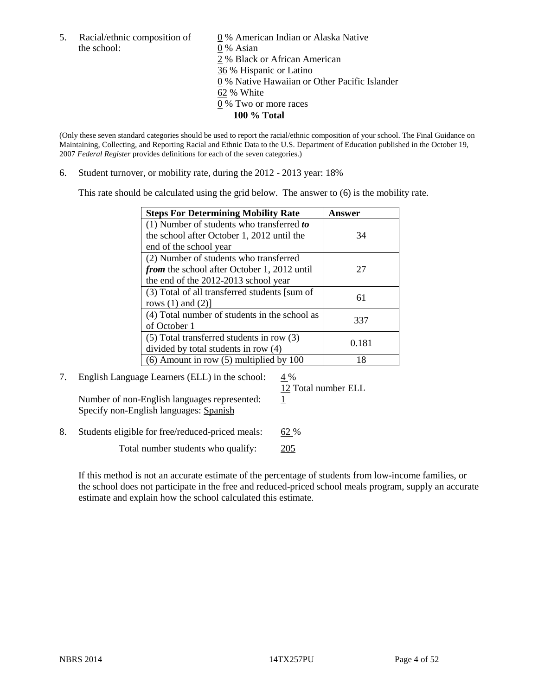the school: 0 % Asian

5. Racial/ethnic composition of  $\qquad \qquad \underline{0}$  % American Indian or Alaska Native 2 % Black or African American 36 % Hispanic or Latino 0 % Native Hawaiian or Other Pacific Islander 62 % White 0 % Two or more races **100 % Total**

(Only these seven standard categories should be used to report the racial/ethnic composition of your school. The Final Guidance on Maintaining, Collecting, and Reporting Racial and Ethnic Data to the U.S. Department of Education published in the October 19, 2007 *Federal Register* provides definitions for each of the seven categories.)

6. Student turnover, or mobility rate, during the 2012 - 2013 year: 18%

This rate should be calculated using the grid below. The answer to (6) is the mobility rate.

| <b>Steps For Determining Mobility Rate</b>    | Answer |
|-----------------------------------------------|--------|
| (1) Number of students who transferred to     |        |
| the school after October 1, 2012 until the    | 34     |
| end of the school year                        |        |
| (2) Number of students who transferred        |        |
| from the school after October 1, 2012 until   | 27     |
| the end of the 2012-2013 school year          |        |
| (3) Total of all transferred students [sum of | 61     |
| rows $(1)$ and $(2)$ ]                        |        |
| (4) Total number of students in the school as | 337    |
| of October 1                                  |        |
| $(5)$ Total transferred students in row $(3)$ | 0.181  |
| divided by total students in row (4)          |        |
| $(6)$ Amount in row $(5)$ multiplied by 100   | 18     |

7. English Language Learners (ELL) in the school:  $4\%$ 

12 Total number ELL

Number of non-English languages represented:  $1$ Specify non-English languages: Spanish

8. Students eligible for free/reduced-priced meals: 62 %

Total number students who qualify: 205

If this method is not an accurate estimate of the percentage of students from low-income families, or the school does not participate in the free and reduced-priced school meals program, supply an accurate estimate and explain how the school calculated this estimate.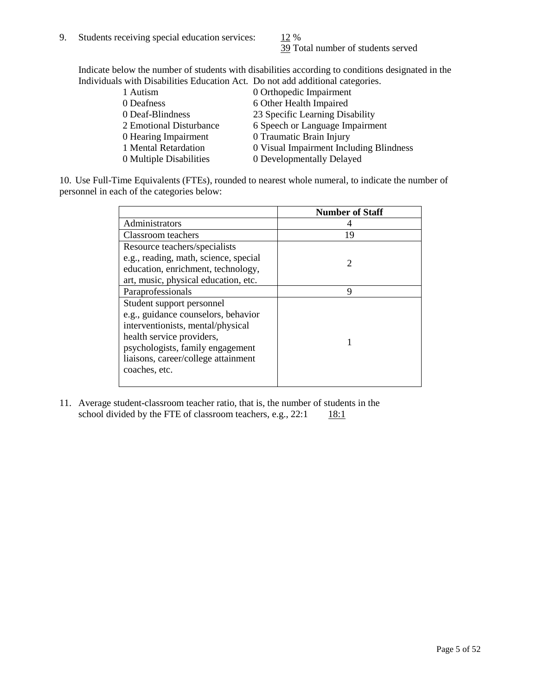39 Total number of students served

Indicate below the number of students with disabilities according to conditions designated in the Individuals with Disabilities Education Act. Do not add additional categories.

| 1 Autism                | 0 Orthopedic Impairment                 |
|-------------------------|-----------------------------------------|
| 0 Deafness              | 6 Other Health Impaired                 |
| 0 Deaf-Blindness        | 23 Specific Learning Disability         |
| 2 Emotional Disturbance | 6 Speech or Language Impairment         |
| 0 Hearing Impairment    | 0 Traumatic Brain Injury                |
| 1 Mental Retardation    | 0 Visual Impairment Including Blindness |
| 0 Multiple Disabilities | 0 Developmentally Delayed               |
|                         |                                         |

10. Use Full-Time Equivalents (FTEs), rounded to nearest whole numeral, to indicate the number of personnel in each of the categories below:

|                                       | <b>Number of Staff</b>      |
|---------------------------------------|-----------------------------|
| Administrators                        |                             |
| Classroom teachers                    | 19                          |
| Resource teachers/specialists         |                             |
| e.g., reading, math, science, special | $\mathcal{D}_{\mathcal{A}}$ |
| education, enrichment, technology,    |                             |
| art, music, physical education, etc.  |                             |
| Paraprofessionals                     | 9                           |
| Student support personnel             |                             |
| e.g., guidance counselors, behavior   |                             |
| interventionists, mental/physical     |                             |
| health service providers,             |                             |
| psychologists, family engagement      |                             |
| liaisons, career/college attainment   |                             |
| coaches, etc.                         |                             |
|                                       |                             |

11. Average student-classroom teacher ratio, that is, the number of students in the school divided by the FTE of classroom teachers, e.g.,  $22:1$  18:1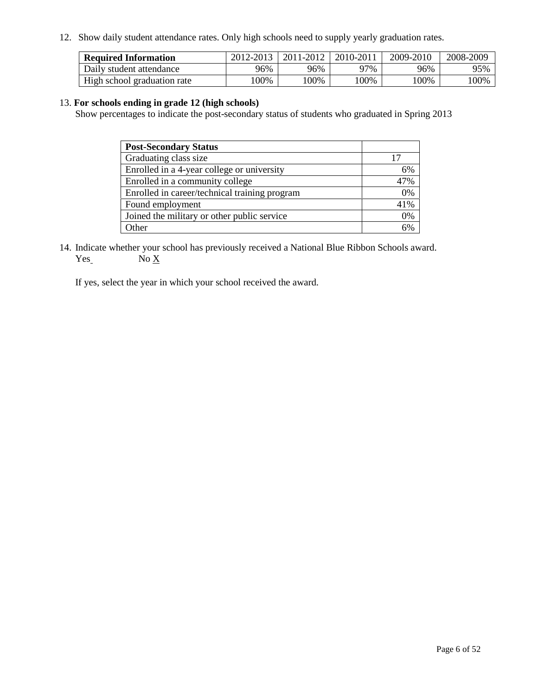12. Show daily student attendance rates. Only high schools need to supply yearly graduation rates.

| <b>Required Information</b> | 2012-2013 | 2011-2012 | 2010-2011 | 2009-2010 | 2008-2009 |
|-----------------------------|-----------|-----------|-----------|-----------|-----------|
| Daily student attendance    | 96%       | 96%       | 77%       | 96%       | 95%       |
| High school graduation rate | 00%       | 00%       | 100%      | .00%      | 00%       |

## 13. **For schools ending in grade 12 (high schools)**

Show percentages to indicate the post-secondary status of students who graduated in Spring 2013

| <b>Post-Secondary Status</b>                  |     |
|-----------------------------------------------|-----|
| Graduating class size                         |     |
| Enrolled in a 4-year college or university    | 6%  |
| Enrolled in a community college               | 47% |
| Enrolled in career/technical training program | 0%  |
| Found employment                              | 41% |
| Joined the military or other public service   | 0%  |
| <b>Other</b>                                  | 50/ |

14. Indicate whether your school has previously received a National Blue Ribbon Schools award.  $Yes_$  No  $X_$ 

If yes, select the year in which your school received the award.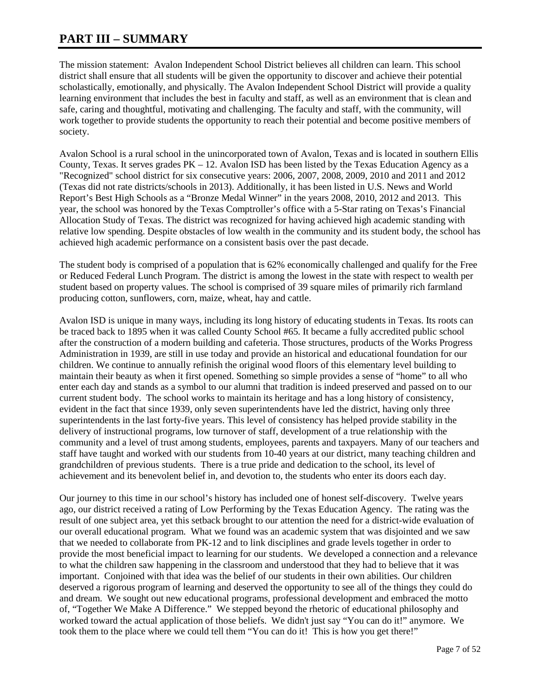## **PART III – SUMMARY**

The mission statement: Avalon Independent School District believes all children can learn. This school district shall ensure that all students will be given the opportunity to discover and achieve their potential scholastically, emotionally, and physically. The Avalon Independent School District will provide a quality learning environment that includes the best in faculty and staff, as well as an environment that is clean and safe, caring and thoughtful, motivating and challenging. The faculty and staff, with the community, will work together to provide students the opportunity to reach their potential and become positive members of society.

Avalon School is a rural school in the unincorporated town of Avalon, Texas and is located in southern Ellis County, Texas. It serves grades  $PK - 12$ . Avalon ISD has been listed by the Texas Education Agency as a "Recognized" school district for six consecutive years: 2006, 2007, 2008, 2009, 2010 and 2011 and 2012 (Texas did not rate districts/schools in 2013). Additionally, it has been listed in U.S. News and World Report's Best High Schools as a "Bronze Medal Winner" in the years 2008, 2010, 2012 and 2013. This year, the school was honored by the Texas Comptroller's office with a 5-Star rating on Texas's Financial Allocation Study of Texas. The district was recognized for having achieved high academic standing with relative low spending. Despite obstacles of low wealth in the community and its student body, the school has achieved high academic performance on a consistent basis over the past decade.

The student body is comprised of a population that is 62% economically challenged and qualify for the Free or Reduced Federal Lunch Program. The district is among the lowest in the state with respect to wealth per student based on property values. The school is comprised of 39 square miles of primarily rich farmland producing cotton, sunflowers, corn, maize, wheat, hay and cattle.

Avalon ISD is unique in many ways, including its long history of educating students in Texas. Its roots can be traced back to 1895 when it was called County School #65. It became a fully accredited public school after the construction of a modern building and cafeteria. Those structures, products of the Works Progress Administration in 1939, are still in use today and provide an historical and educational foundation for our children. We continue to annually refinish the original wood floors of this elementary level building to maintain their beauty as when it first opened. Something so simple provides a sense of "home" to all who enter each day and stands as a symbol to our alumni that tradition is indeed preserved and passed on to our current student body. The school works to maintain its heritage and has a long history of consistency, evident in the fact that since 1939, only seven superintendents have led the district, having only three superintendents in the last forty-five years. This level of consistency has helped provide stability in the delivery of instructional programs, low turnover of staff, development of a true relationship with the community and a level of trust among students, employees, parents and taxpayers. Many of our teachers and staff have taught and worked with our students from 10-40 years at our district, many teaching children and grandchildren of previous students. There is a true pride and dedication to the school, its level of achievement and its benevolent belief in, and devotion to, the students who enter its doors each day.

Our journey to this time in our school's history has included one of honest self-discovery. Twelve years ago, our district received a rating of Low Performing by the Texas Education Agency. The rating was the result of one subject area, yet this setback brought to our attention the need for a district-wide evaluation of our overall educational program. What we found was an academic system that was disjointed and we saw that we needed to collaborate from PK-12 and to link disciplines and grade levels together in order to provide the most beneficial impact to learning for our students. We developed a connection and a relevance to what the children saw happening in the classroom and understood that they had to believe that it was important. Conjoined with that idea was the belief of our students in their own abilities. Our children deserved a rigorous program of learning and deserved the opportunity to see all of the things they could do and dream. We sought out new educational programs, professional development and embraced the motto of, "Together We Make A Difference." We stepped beyond the rhetoric of educational philosophy and worked toward the actual application of those beliefs. We didn't just say "You can do it!" anymore. We took them to the place where we could tell them "You can do it! This is how you get there!"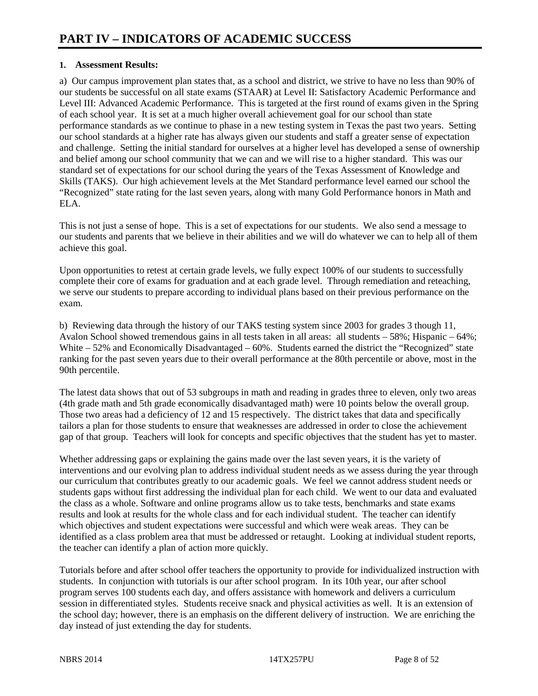## **1. Assessment Results:**

a) Our campus improvement plan states that, as a school and district, we strive to have no less than 90% of our students be successful on all state exams (STAAR) at Level II: Satisfactory Academic Performance and Level III: Advanced Academic Performance. This is targeted at the first round of exams given in the Spring of each school year. It is set at a much higher overall achievement goal for our school than state performance standards as we continue to phase in a new testing system in Texas the past two years. Setting our school standards at a higher rate has always given our students and staff a greater sense of expectation and challenge. Setting the initial standard for ourselves at a higher level has developed a sense of ownership and belief among our school community that we can and we will rise to a higher standard. This was our standard set of expectations for our school during the years of the Texas Assessment of Knowledge and Skills (TAKS). Our high achievement levels at the Met Standard performance level earned our school the "Recognized" state rating for the last seven years, along with many Gold Performance honors in Math and ELA.

This is not just a sense of hope. This is a set of expectations for our students. We also send a message to our students and parents that we believe in their abilities and we will do whatever we can to help all of them achieve this goal.

Upon opportunities to retest at certain grade levels, we fully expect 100% of our students to successfully complete their core of exams for graduation and at each grade level. Through remediation and reteaching, we serve our students to prepare according to individual plans based on their previous performance on the exam.

b) Reviewing data through the history of our TAKS testing system since 2003 for grades 3 though 11, Avalon School showed tremendous gains in all tests taken in all areas: all students – 58%; Hispanic – 64%; White – 52% and Economically Disadvantaged – 60%. Students earned the district the "Recognized" state ranking for the past seven years due to their overall performance at the 80th percentile or above, most in the 90th percentile.

The latest data shows that out of 53 subgroups in math and reading in grades three to eleven, only two areas (4th grade math and 5th grade economically disadvantaged math) were 10 points below the overall group. Those two areas had a deficiency of 12 and 15 respectively. The district takes that data and specifically tailors a plan for those students to ensure that weaknesses are addressed in order to close the achievement gap of that group. Teachers will look for concepts and specific objectives that the student has yet to master.

Whether addressing gaps or explaining the gains made over the last seven years, it is the variety of interventions and our evolving plan to address individual student needs as we assess during the year through our curriculum that contributes greatly to our academic goals. We feel we cannot address student needs or students gaps without first addressing the individual plan for each child. We went to our data and evaluated the class as a whole. Software and online programs allow us to take tests, benchmarks and state exams results and look at results for the whole class and for each individual student. The teacher can identify which objectives and student expectations were successful and which were weak areas. They can be identified as a class problem area that must be addressed or retaught. Looking at individual student reports, the teacher can identify a plan of action more quickly.

Tutorials before and after school offer teachers the opportunity to provide for individualized instruction with students. In conjunction with tutorials is our after school program. In its 10th year, our after school program serves 100 students each day, and offers assistance with homework and delivers a curriculum session in differentiated styles. Students receive snack and physical activities as well. It is an extension of the school day; however, there is an emphasis on the different delivery of instruction. We are enriching the day instead of just extending the day for students.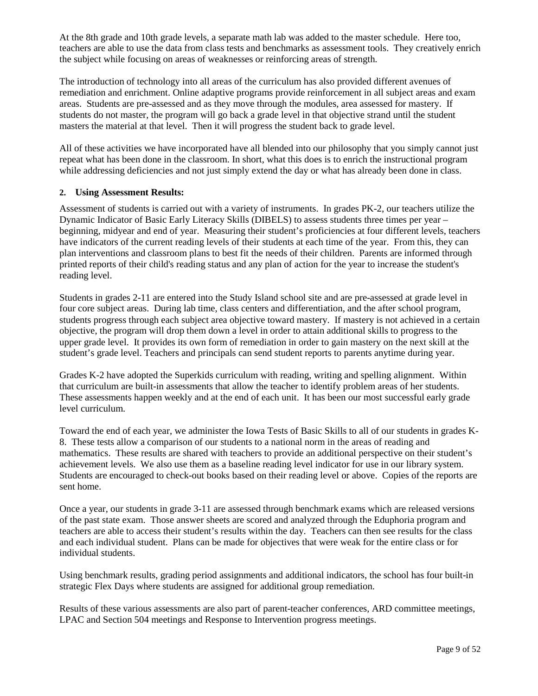At the 8th grade and 10th grade levels, a separate math lab was added to the master schedule. Here too, teachers are able to use the data from class tests and benchmarks as assessment tools. They creatively enrich the subject while focusing on areas of weaknesses or reinforcing areas of strength.

The introduction of technology into all areas of the curriculum has also provided different avenues of remediation and enrichment. Online adaptive programs provide reinforcement in all subject areas and exam areas. Students are pre-assessed and as they move through the modules, area assessed for mastery. If students do not master, the program will go back a grade level in that objective strand until the student masters the material at that level. Then it will progress the student back to grade level.

All of these activities we have incorporated have all blended into our philosophy that you simply cannot just repeat what has been done in the classroom. In short, what this does is to enrich the instructional program while addressing deficiencies and not just simply extend the day or what has already been done in class.

## **2. Using Assessment Results:**

Assessment of students is carried out with a variety of instruments. In grades PK-2, our teachers utilize the Dynamic Indicator of Basic Early Literacy Skills (DIBELS) to assess students three times per year – beginning, midyear and end of year. Measuring their student's proficiencies at four different levels, teachers have indicators of the current reading levels of their students at each time of the year. From this, they can plan interventions and classroom plans to best fit the needs of their children. Parents are informed through printed reports of their child's reading status and any plan of action for the year to increase the student's reading level.

Students in grades 2-11 are entered into the Study Island school site and are pre-assessed at grade level in four core subject areas. During lab time, class centers and differentiation, and the after school program, students progress through each subject area objective toward mastery. If mastery is not achieved in a certain objective, the program will drop them down a level in order to attain additional skills to progress to the upper grade level. It provides its own form of remediation in order to gain mastery on the next skill at the student's grade level. Teachers and principals can send student reports to parents anytime during year.

Grades K-2 have adopted the Superkids curriculum with reading, writing and spelling alignment. Within that curriculum are built-in assessments that allow the teacher to identify problem areas of her students. These assessments happen weekly and at the end of each unit. It has been our most successful early grade level curriculum.

Toward the end of each year, we administer the Iowa Tests of Basic Skills to all of our students in grades K-8. These tests allow a comparison of our students to a national norm in the areas of reading and mathematics. These results are shared with teachers to provide an additional perspective on their student's achievement levels. We also use them as a baseline reading level indicator for use in our library system. Students are encouraged to check-out books based on their reading level or above. Copies of the reports are sent home.

Once a year, our students in grade 3-11 are assessed through benchmark exams which are released versions of the past state exam. Those answer sheets are scored and analyzed through the Eduphoria program and teachers are able to access their student's results within the day. Teachers can then see results for the class and each individual student. Plans can be made for objectives that were weak for the entire class or for individual students.

Using benchmark results, grading period assignments and additional indicators, the school has four built-in strategic Flex Days where students are assigned for additional group remediation.

Results of these various assessments are also part of parent-teacher conferences, ARD committee meetings, LPAC and Section 504 meetings and Response to Intervention progress meetings.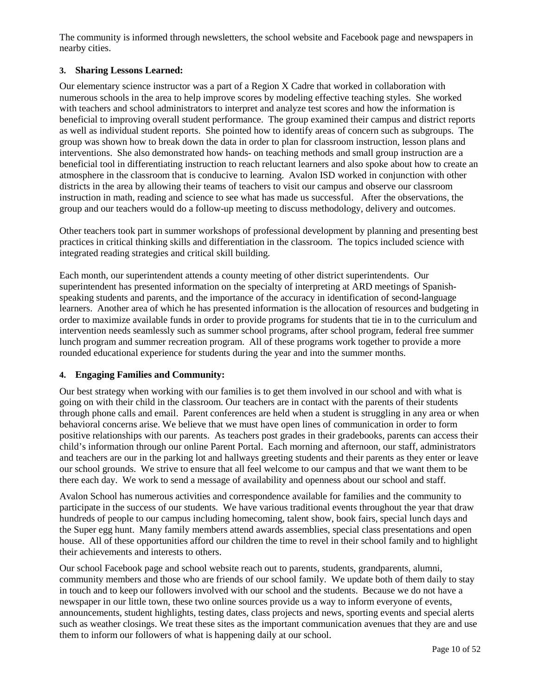The community is informed through newsletters, the school website and Facebook page and newspapers in nearby cities.

## **3. Sharing Lessons Learned:**

Our elementary science instructor was a part of a Region X Cadre that worked in collaboration with numerous schools in the area to help improve scores by modeling effective teaching styles. She worked with teachers and school administrators to interpret and analyze test scores and how the information is beneficial to improving overall student performance. The group examined their campus and district reports as well as individual student reports. She pointed how to identify areas of concern such as subgroups. The group was shown how to break down the data in order to plan for classroom instruction, lesson plans and interventions. She also demonstrated how hands- on teaching methods and small group instruction are a beneficial tool in differentiating instruction to reach reluctant learners and also spoke about how to create an atmosphere in the classroom that is conducive to learning. Avalon ISD worked in conjunction with other districts in the area by allowing their teams of teachers to visit our campus and observe our classroom instruction in math, reading and science to see what has made us successful. After the observations, the group and our teachers would do a follow-up meeting to discuss methodology, delivery and outcomes.

Other teachers took part in summer workshops of professional development by planning and presenting best practices in critical thinking skills and differentiation in the classroom. The topics included science with integrated reading strategies and critical skill building.

Each month, our superintendent attends a county meeting of other district superintendents. Our superintendent has presented information on the specialty of interpreting at ARD meetings of Spanishspeaking students and parents, and the importance of the accuracy in identification of second-language learners. Another area of which he has presented information is the allocation of resources and budgeting in order to maximize available funds in order to provide programs for students that tie in to the curriculum and intervention needs seamlessly such as summer school programs, after school program, federal free summer lunch program and summer recreation program. All of these programs work together to provide a more rounded educational experience for students during the year and into the summer months.

## **4. Engaging Families and Community:**

Our best strategy when working with our families is to get them involved in our school and with what is going on with their child in the classroom. Our teachers are in contact with the parents of their students through phone calls and email. Parent conferences are held when a student is struggling in any area or when behavioral concerns arise. We believe that we must have open lines of communication in order to form positive relationships with our parents. As teachers post grades in their gradebooks, parents can access their child's information through our online Parent Portal. Each morning and afternoon, our staff, administrators and teachers are our in the parking lot and hallways greeting students and their parents as they enter or leave our school grounds. We strive to ensure that all feel welcome to our campus and that we want them to be there each day. We work to send a message of availability and openness about our school and staff.

Avalon School has numerous activities and correspondence available for families and the community to participate in the success of our students. We have various traditional events throughout the year that draw hundreds of people to our campus including homecoming, talent show, book fairs, special lunch days and the Super egg hunt. Many family members attend awards assemblies, special class presentations and open house. All of these opportunities afford our children the time to revel in their school family and to highlight their achievements and interests to others.

Our school Facebook page and school website reach out to parents, students, grandparents, alumni, community members and those who are friends of our school family. We update both of them daily to stay in touch and to keep our followers involved with our school and the students. Because we do not have a newspaper in our little town, these two online sources provide us a way to inform everyone of events, announcements, student highlights, testing dates, class projects and news, sporting events and special alerts such as weather closings. We treat these sites as the important communication avenues that they are and use them to inform our followers of what is happening daily at our school.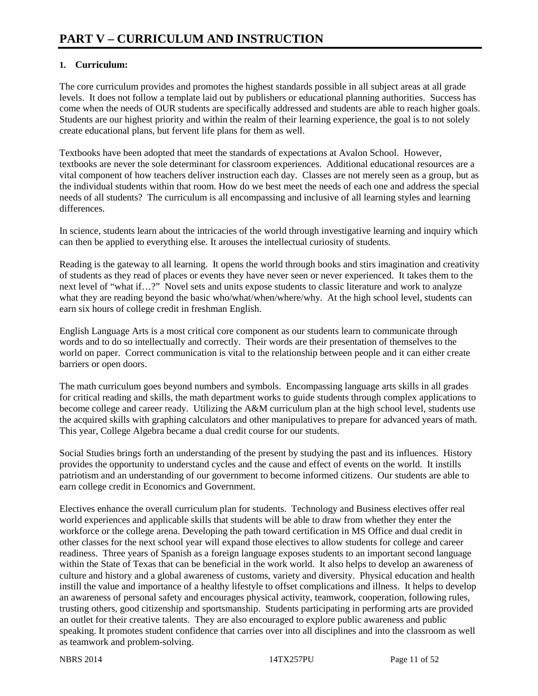## **1. Curriculum:**

The core curriculum provides and promotes the highest standards possible in all subject areas at all grade levels. It does not follow a template laid out by publishers or educational planning authorities. Success has come when the needs of OUR students are specifically addressed and students are able to reach higher goals. Students are our highest priority and within the realm of their learning experience, the goal is to not solely create educational plans, but fervent life plans for them as well.

Textbooks have been adopted that meet the standards of expectations at Avalon School. However, textbooks are never the sole determinant for classroom experiences. Additional educational resources are a vital component of how teachers deliver instruction each day. Classes are not merely seen as a group, but as the individual students within that room. How do we best meet the needs of each one and address the special needs of all students? The curriculum is all encompassing and inclusive of all learning styles and learning differences.

In science, students learn about the intricacies of the world through investigative learning and inquiry which can then be applied to everything else. It arouses the intellectual curiosity of students.

Reading is the gateway to all learning. It opens the world through books and stirs imagination and creativity of students as they read of places or events they have never seen or never experienced. It takes them to the next level of "what if…?" Novel sets and units expose students to classic literature and work to analyze what they are reading beyond the basic who/what/when/where/why. At the high school level, students can earn six hours of college credit in freshman English.

English Language Arts is a most critical core component as our students learn to communicate through words and to do so intellectually and correctly. Their words are their presentation of themselves to the world on paper. Correct communication is vital to the relationship between people and it can either create barriers or open doors.

The math curriculum goes beyond numbers and symbols. Encompassing language arts skills in all grades for critical reading and skills, the math department works to guide students through complex applications to become college and career ready. Utilizing the A&M curriculum plan at the high school level, students use the acquired skills with graphing calculators and other manipulatives to prepare for advanced years of math. This year, College Algebra became a dual credit course for our students.

Social Studies brings forth an understanding of the present by studying the past and its influences. History provides the opportunity to understand cycles and the cause and effect of events on the world. It instills patriotism and an understanding of our government to become informed citizens. Our students are able to earn college credit in Economics and Government.

Electives enhance the overall curriculum plan for students. Technology and Business electives offer real world experiences and applicable skills that students will be able to draw from whether they enter the workforce or the college arena. Developing the path toward certification in MS Office and dual credit in other classes for the next school year will expand those electives to allow students for college and career readiness. Three years of Spanish as a foreign language exposes students to an important second language within the State of Texas that can be beneficial in the work world. It also helps to develop an awareness of culture and history and a global awareness of customs, variety and diversity. Physical education and health instill the value and importance of a healthy lifestyle to offset complications and illness. It helps to develop an awareness of personal safety and encourages physical activity, teamwork, cooperation, following rules, trusting others, good citizenship and sportsmanship. Students participating in performing arts are provided an outlet for their creative talents. They are also encouraged to explore public awareness and public speaking. It promotes student confidence that carries over into all disciplines and into the classroom as well as teamwork and problem-solving.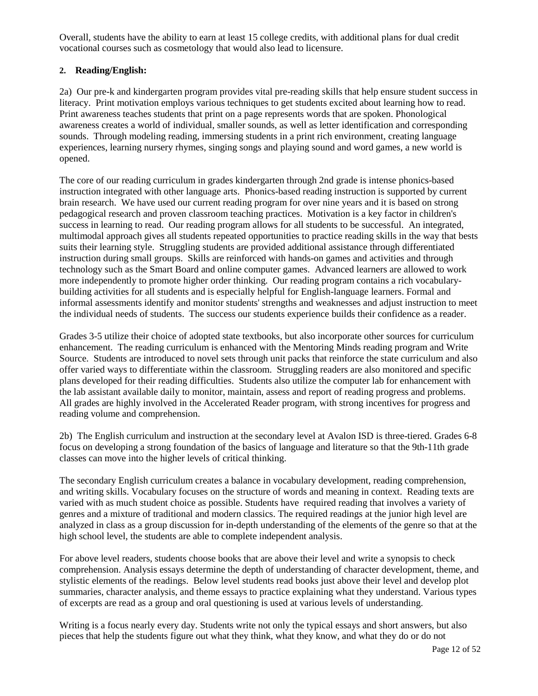Overall, students have the ability to earn at least 15 college credits, with additional plans for dual credit vocational courses such as cosmetology that would also lead to licensure.

## **2. Reading/English:**

2a) Our pre-k and kindergarten program provides vital pre-reading skills that help ensure student success in literacy. Print motivation employs various techniques to get students excited about learning how to read. Print awareness teaches students that print on a page represents words that are spoken. Phonological awareness creates a world of individual, smaller sounds, as well as letter identification and corresponding sounds. Through modeling reading, immersing students in a print rich environment, creating language experiences, learning nursery rhymes, singing songs and playing sound and word games, a new world is opened.

The core of our reading curriculum in grades kindergarten through 2nd grade is intense phonics-based instruction integrated with other language arts. Phonics-based reading instruction is supported by current brain research. We have used our current reading program for over nine years and it is based on strong pedagogical research and proven classroom teaching practices. Motivation is a key factor in children's success in learning to read. Our reading program allows for all students to be successful. An integrated, multimodal approach gives all students repeated opportunities to practice reading skills in the way that bests suits their learning style. Struggling students are provided additional assistance through differentiated instruction during small groups. Skills are reinforced with hands-on games and activities and through technology such as the Smart Board and online computer games. Advanced learners are allowed to work more independently to promote higher order thinking. Our reading program contains a rich vocabularybuilding activities for all students and is especially helpful for English-language learners. Formal and informal assessments identify and monitor students' strengths and weaknesses and adjust instruction to meet the individual needs of students. The success our students experience builds their confidence as a reader.

Grades 3-5 utilize their choice of adopted state textbooks, but also incorporate other sources for curriculum enhancement. The reading curriculum is enhanced with the Mentoring Minds reading program and Write Source. Students are introduced to novel sets through unit packs that reinforce the state curriculum and also offer varied ways to differentiate within the classroom. Struggling readers are also monitored and specific plans developed for their reading difficulties. Students also utilize the computer lab for enhancement with the lab assistant available daily to monitor, maintain, assess and report of reading progress and problems. All grades are highly involved in the Accelerated Reader program, with strong incentives for progress and reading volume and comprehension.

2b) The English curriculum and instruction at the secondary level at Avalon ISD is three-tiered. Grades 6-8 focus on developing a strong foundation of the basics of language and literature so that the 9th-11th grade classes can move into the higher levels of critical thinking.

The secondary English curriculum creates a balance in vocabulary development, reading comprehension, and writing skills. Vocabulary focuses on the structure of words and meaning in context. Reading texts are varied with as much student choice as possible. Students have required reading that involves a variety of genres and a mixture of traditional and modern classics. The required readings at the junior high level are analyzed in class as a group discussion for in-depth understanding of the elements of the genre so that at the high school level, the students are able to complete independent analysis.

For above level readers, students choose books that are above their level and write a synopsis to check comprehension. Analysis essays determine the depth of understanding of character development, theme, and stylistic elements of the readings. Below level students read books just above their level and develop plot summaries, character analysis, and theme essays to practice explaining what they understand. Various types of excerpts are read as a group and oral questioning is used at various levels of understanding.

Writing is a focus nearly every day. Students write not only the typical essays and short answers, but also pieces that help the students figure out what they think, what they know, and what they do or do not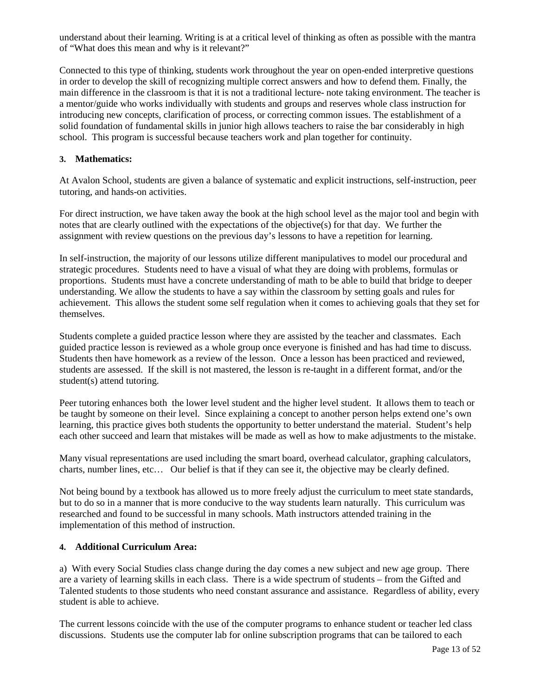understand about their learning. Writing is at a critical level of thinking as often as possible with the mantra of "What does this mean and why is it relevant?"

Connected to this type of thinking, students work throughout the year on open-ended interpretive questions in order to develop the skill of recognizing multiple correct answers and how to defend them. Finally, the main difference in the classroom is that it is not a traditional lecture- note taking environment. The teacher is a mentor/guide who works individually with students and groups and reserves whole class instruction for introducing new concepts, clarification of process, or correcting common issues. The establishment of a solid foundation of fundamental skills in junior high allows teachers to raise the bar considerably in high school. This program is successful because teachers work and plan together for continuity.

## **3. Mathematics:**

At Avalon School, students are given a balance of systematic and explicit instructions, self-instruction, peer tutoring, and hands-on activities.

For direct instruction, we have taken away the book at the high school level as the major tool and begin with notes that are clearly outlined with the expectations of the objective(s) for that day. We further the assignment with review questions on the previous day's lessons to have a repetition for learning.

In self-instruction, the majority of our lessons utilize different manipulatives to model our procedural and strategic procedures. Students need to have a visual of what they are doing with problems, formulas or proportions. Students must have a concrete understanding of math to be able to build that bridge to deeper understanding. We allow the students to have a say within the classroom by setting goals and rules for achievement. This allows the student some self regulation when it comes to achieving goals that they set for themselves.

Students complete a guided practice lesson where they are assisted by the teacher and classmates. Each guided practice lesson is reviewed as a whole group once everyone is finished and has had time to discuss. Students then have homework as a review of the lesson. Once a lesson has been practiced and reviewed, students are assessed. If the skill is not mastered, the lesson is re-taught in a different format, and/or the student(s) attend tutoring.

Peer tutoring enhances both the lower level student and the higher level student. It allows them to teach or be taught by someone on their level. Since explaining a concept to another person helps extend one's own learning, this practice gives both students the opportunity to better understand the material. Student's help each other succeed and learn that mistakes will be made as well as how to make adjustments to the mistake.

Many visual representations are used including the smart board, overhead calculator, graphing calculators, charts, number lines, etc… Our belief is that if they can see it, the objective may be clearly defined.

Not being bound by a textbook has allowed us to more freely adjust the curriculum to meet state standards, but to do so in a manner that is more conducive to the way students learn naturally. This curriculum was researched and found to be successful in many schools. Math instructors attended training in the implementation of this method of instruction.

## **4. Additional Curriculum Area:**

a) With every Social Studies class change during the day comes a new subject and new age group. There are a variety of learning skills in each class. There is a wide spectrum of students – from the Gifted and Talented students to those students who need constant assurance and assistance. Regardless of ability, every student is able to achieve.

The current lessons coincide with the use of the computer programs to enhance student or teacher led class discussions. Students use the computer lab for online subscription programs that can be tailored to each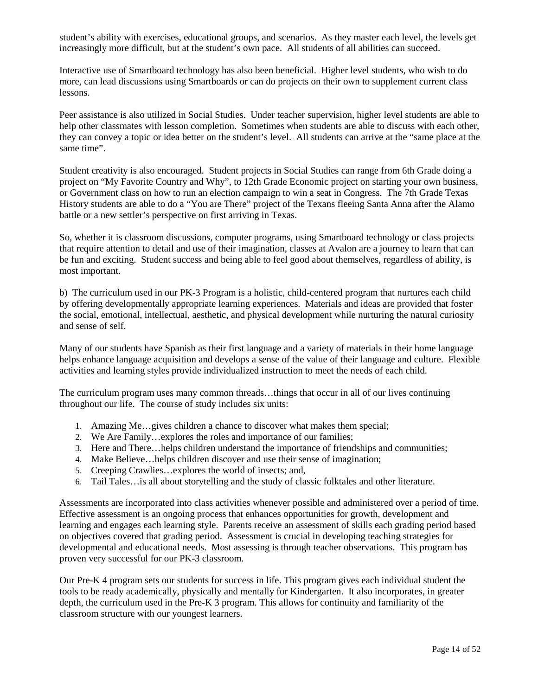student's ability with exercises, educational groups, and scenarios. As they master each level, the levels get increasingly more difficult, but at the student's own pace. All students of all abilities can succeed.

Interactive use of Smartboard technology has also been beneficial. Higher level students, who wish to do more, can lead discussions using Smartboards or can do projects on their own to supplement current class lessons.

Peer assistance is also utilized in Social Studies. Under teacher supervision, higher level students are able to help other classmates with lesson completion. Sometimes when students are able to discuss with each other, they can convey a topic or idea better on the student's level. All students can arrive at the "same place at the same time".

Student creativity is also encouraged. Student projects in Social Studies can range from 6th Grade doing a project on "My Favorite Country and Why", to 12th Grade Economic project on starting your own business, or Government class on how to run an election campaign to win a seat in Congress. The 7th Grade Texas History students are able to do a "You are There" project of the Texans fleeing Santa Anna after the Alamo battle or a new settler's perspective on first arriving in Texas.

So, whether it is classroom discussions, computer programs, using Smartboard technology or class projects that require attention to detail and use of their imagination, classes at Avalon are a journey to learn that can be fun and exciting. Student success and being able to feel good about themselves, regardless of ability, is most important.

b) The curriculum used in our PK-3 Program is a holistic, child-centered program that nurtures each child by offering developmentally appropriate learning experiences. Materials and ideas are provided that foster the social, emotional, intellectual, aesthetic, and physical development while nurturing the natural curiosity and sense of self.

Many of our students have Spanish as their first language and a variety of materials in their home language helps enhance language acquisition and develops a sense of the value of their language and culture. Flexible activities and learning styles provide individualized instruction to meet the needs of each child.

The curriculum program uses many common threads…things that occur in all of our lives continuing throughout our life. The course of study includes six units:

- 1. Amazing Me…gives children a chance to discover what makes them special;
- 2. We Are Family…explores the roles and importance of our families;
- 3. Here and There…helps children understand the importance of friendships and communities;
- 4. Make Believe…helps children discover and use their sense of imagination;
- 5. Creeping Crawlies…explores the world of insects; and,
- 6. Tail Tales…is all about storytelling and the study of classic folktales and other literature.

Assessments are incorporated into class activities whenever possible and administered over a period of time. Effective assessment is an ongoing process that enhances opportunities for growth, development and learning and engages each learning style. Parents receive an assessment of skills each grading period based on objectives covered that grading period. Assessment is crucial in developing teaching strategies for developmental and educational needs. Most assessing is through teacher observations. This program has proven very successful for our PK-3 classroom.

Our Pre-K 4 program sets our students for success in life. This program gives each individual student the tools to be ready academically, physically and mentally for Kindergarten. It also incorporates, in greater depth, the curriculum used in the Pre-K 3 program. This allows for continuity and familiarity of the classroom structure with our youngest learners.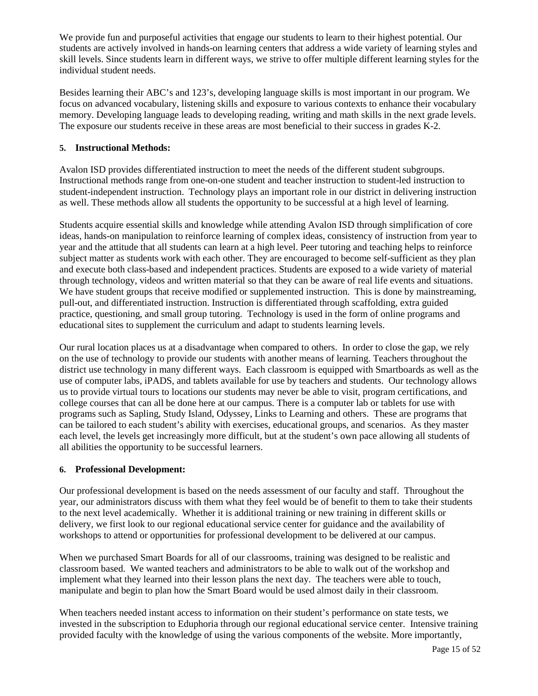We provide fun and purposeful activities that engage our students to learn to their highest potential. Our students are actively involved in hands-on learning centers that address a wide variety of learning styles and skill levels. Since students learn in different ways, we strive to offer multiple different learning styles for the individual student needs.

Besides learning their ABC's and 123's, developing language skills is most important in our program. We focus on advanced vocabulary, listening skills and exposure to various contexts to enhance their vocabulary memory. Developing language leads to developing reading, writing and math skills in the next grade levels. The exposure our students receive in these areas are most beneficial to their success in grades K-2.

## **5. Instructional Methods:**

Avalon ISD provides differentiated instruction to meet the needs of the different student subgroups. Instructional methods range from one-on-one student and teacher instruction to student-led instruction to student-independent instruction. Technology plays an important role in our district in delivering instruction as well. These methods allow all students the opportunity to be successful at a high level of learning.

Students acquire essential skills and knowledge while attending Avalon ISD through simplification of core ideas, hands-on manipulation to reinforce learning of complex ideas, consistency of instruction from year to year and the attitude that all students can learn at a high level. Peer tutoring and teaching helps to reinforce subject matter as students work with each other. They are encouraged to become self-sufficient as they plan and execute both class-based and independent practices. Students are exposed to a wide variety of material through technology, videos and written material so that they can be aware of real life events and situations. We have student groups that receive modified or supplemented instruction. This is done by mainstreaming, pull-out, and differentiated instruction. Instruction is differentiated through scaffolding, extra guided practice, questioning, and small group tutoring. Technology is used in the form of online programs and educational sites to supplement the curriculum and adapt to students learning levels.

Our rural location places us at a disadvantage when compared to others. In order to close the gap, we rely on the use of technology to provide our students with another means of learning. Teachers throughout the district use technology in many different ways. Each classroom is equipped with Smartboards as well as the use of computer labs, iPADS, and tablets available for use by teachers and students. Our technology allows us to provide virtual tours to locations our students may never be able to visit, program certifications, and college courses that can all be done here at our campus. There is a computer lab or tablets for use with programs such as Sapling, Study Island, Odyssey, Links to Learning and others. These are programs that can be tailored to each student's ability with exercises, educational groups, and scenarios. As they master each level, the levels get increasingly more difficult, but at the student's own pace allowing all students of all abilities the opportunity to be successful learners.

## **6. Professional Development:**

Our professional development is based on the needs assessment of our faculty and staff. Throughout the year, our administrators discuss with them what they feel would be of benefit to them to take their students to the next level academically. Whether it is additional training or new training in different skills or delivery, we first look to our regional educational service center for guidance and the availability of workshops to attend or opportunities for professional development to be delivered at our campus.

When we purchased Smart Boards for all of our classrooms, training was designed to be realistic and classroom based. We wanted teachers and administrators to be able to walk out of the workshop and implement what they learned into their lesson plans the next day. The teachers were able to touch, manipulate and begin to plan how the Smart Board would be used almost daily in their classroom.

When teachers needed instant access to information on their student's performance on state tests, we invested in the subscription to Eduphoria through our regional educational service center. Intensive training provided faculty with the knowledge of using the various components of the website. More importantly,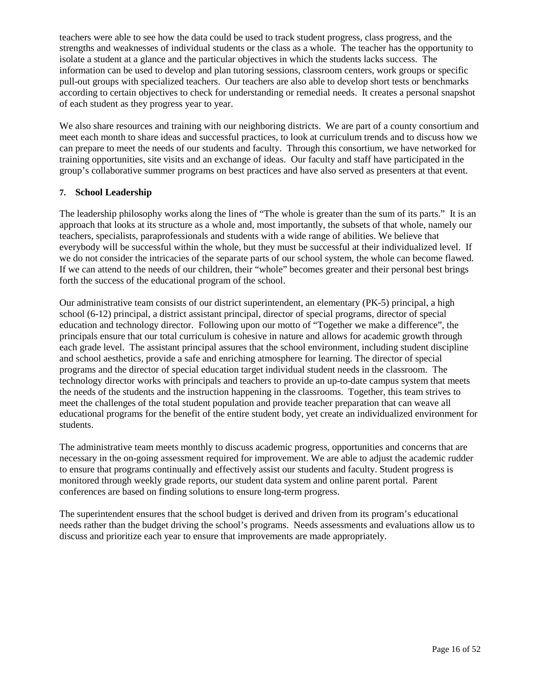teachers were able to see how the data could be used to track student progress, class progress, and the strengths and weaknesses of individual students or the class as a whole. The teacher has the opportunity to isolate a student at a glance and the particular objectives in which the students lacks success. The information can be used to develop and plan tutoring sessions, classroom centers, work groups or specific pull-out groups with specialized teachers. Our teachers are also able to develop short tests or benchmarks according to certain objectives to check for understanding or remedial needs. It creates a personal snapshot of each student as they progress year to year.

We also share resources and training with our neighboring districts. We are part of a county consortium and meet each month to share ideas and successful practices, to look at curriculum trends and to discuss how we can prepare to meet the needs of our students and faculty. Through this consortium, we have networked for training opportunities, site visits and an exchange of ideas. Our faculty and staff have participated in the group's collaborative summer programs on best practices and have also served as presenters at that event.

## **7. School Leadership**

The leadership philosophy works along the lines of "The whole is greater than the sum of its parts." It is an approach that looks at its structure as a whole and, most importantly, the subsets of that whole, namely our teachers, specialists, paraprofessionals and students with a wide range of abilities. We believe that everybody will be successful within the whole, but they must be successful at their individualized level. If we do not consider the intricacies of the separate parts of our school system, the whole can become flawed. If we can attend to the needs of our children, their "whole" becomes greater and their personal best brings forth the success of the educational program of the school.

Our administrative team consists of our district superintendent, an elementary (PK-5) principal, a high school (6-12) principal, a district assistant principal, director of special programs, director of special education and technology director. Following upon our motto of "Together we make a difference", the principals ensure that our total curriculum is cohesive in nature and allows for academic growth through each grade level. The assistant principal assures that the school environment, including student discipline and school aesthetics, provide a safe and enriching atmosphere for learning. The director of special programs and the director of special education target individual student needs in the classroom. The technology director works with principals and teachers to provide an up-to-date campus system that meets the needs of the students and the instruction happening in the classrooms. Together, this team strives to meet the challenges of the total student population and provide teacher preparation that can weave all educational programs for the benefit of the entire student body, yet create an individualized environment for students.

The administrative team meets monthly to discuss academic progress, opportunities and concerns that are necessary in the on-going assessment required for improvement. We are able to adjust the academic rudder to ensure that programs continually and effectively assist our students and faculty. Student progress is monitored through weekly grade reports, our student data system and online parent portal. Parent conferences are based on finding solutions to ensure long-term progress.

The superintendent ensures that the school budget is derived and driven from its program's educational needs rather than the budget driving the school's programs. Needs assessments and evaluations allow us to discuss and prioritize each year to ensure that improvements are made appropriately.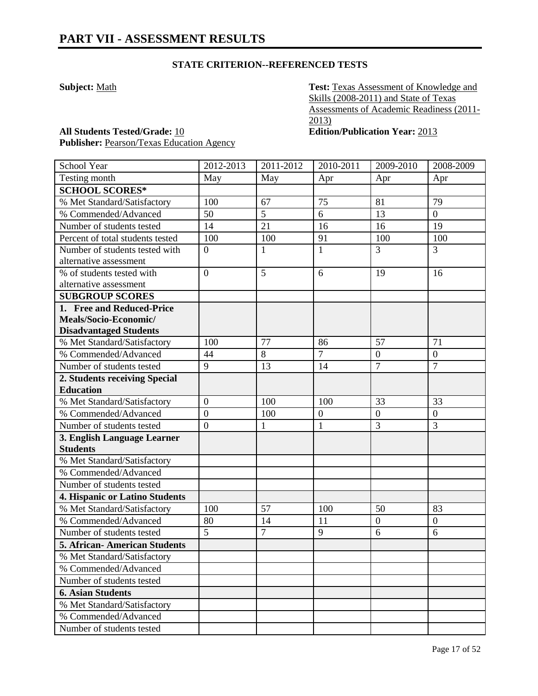**Subject:** Math **Test: Texas** Assessment of Knowledge and Skills (2008-2011) and State of Texas Assessments of Academic Readiness (2011- 2013)

**All Students Tested/Grade:** 10 **Edition/Publication Year:** 2013 **Publisher:** Pearson/Texas Education Agency

| School Year                                                                         | 2012-2013        | 2011-2012      | 2010-2011        | 2009-2010        | 2008-2009        |
|-------------------------------------------------------------------------------------|------------------|----------------|------------------|------------------|------------------|
| Testing month                                                                       | May              | May            | Apr              | Apr              | Apr              |
| <b>SCHOOL SCORES*</b>                                                               |                  |                |                  |                  |                  |
| % Met Standard/Satisfactory                                                         | 100              | 67             | 75               | 81               | 79               |
| % Commended/Advanced                                                                | 50               | 5              | 6                | 13               | $\boldsymbol{0}$ |
| Number of students tested                                                           | 14               | 21             | 16               | 16               | 19               |
| Percent of total students tested                                                    | 100              | 100            | 91               | 100              | 100              |
| Number of students tested with<br>alternative assessment                            | $\overline{0}$   | 1              | $\mathbf{1}$     | 3                | 3                |
| % of students tested with                                                           | $\overline{0}$   | 5              | 6                | 19               | 16               |
| alternative assessment                                                              |                  |                |                  |                  |                  |
| <b>SUBGROUP SCORES</b>                                                              |                  |                |                  |                  |                  |
| 1. Free and Reduced-Price<br>Meals/Socio-Economic/<br><b>Disadvantaged Students</b> |                  |                |                  |                  |                  |
| % Met Standard/Satisfactory                                                         | 100              | 77             | 86               | 57               | 71               |
| % Commended/Advanced                                                                | 44               | 8              | $\overline{7}$   | $\boldsymbol{0}$ | $\boldsymbol{0}$ |
| Number of students tested                                                           | 9                | 13             | 14               | $\overline{7}$   | $\overline{7}$   |
| 2. Students receiving Special<br><b>Education</b>                                   |                  |                |                  |                  |                  |
| % Met Standard/Satisfactory                                                         | $\overline{0}$   | 100            | 100              | 33               | 33               |
| % Commended/Advanced                                                                | $\boldsymbol{0}$ | 100            | $\boldsymbol{0}$ | $\overline{0}$   | $\overline{0}$   |
| Number of students tested                                                           | $\boldsymbol{0}$ | $\mathbf{1}$   | 1                | 3                | 3                |
| 3. English Language Learner                                                         |                  |                |                  |                  |                  |
| <b>Students</b>                                                                     |                  |                |                  |                  |                  |
| % Met Standard/Satisfactory                                                         |                  |                |                  |                  |                  |
| % Commended/Advanced                                                                |                  |                |                  |                  |                  |
| Number of students tested                                                           |                  |                |                  |                  |                  |
| 4. Hispanic or Latino Students                                                      |                  |                |                  |                  |                  |
| % Met Standard/Satisfactory                                                         | 100              | 57             | 100              | 50               | 83               |
| % Commended/Advanced                                                                | 80               | 14             | 11               | $\boldsymbol{0}$ | $\boldsymbol{0}$ |
| Number of students tested                                                           | $\overline{5}$   | $\overline{7}$ | 9                | 6                | 6                |
| <b>5. African- American Students</b>                                                |                  |                |                  |                  |                  |
| % Met Standard/Satisfactory                                                         |                  |                |                  |                  |                  |
| % Commended/Advanced                                                                |                  |                |                  |                  |                  |
| Number of students tested                                                           |                  |                |                  |                  |                  |
| <b>6. Asian Students</b>                                                            |                  |                |                  |                  |                  |
| % Met Standard/Satisfactory                                                         |                  |                |                  |                  |                  |
| % Commended/Advanced                                                                |                  |                |                  |                  |                  |
| Number of students tested                                                           |                  |                |                  |                  |                  |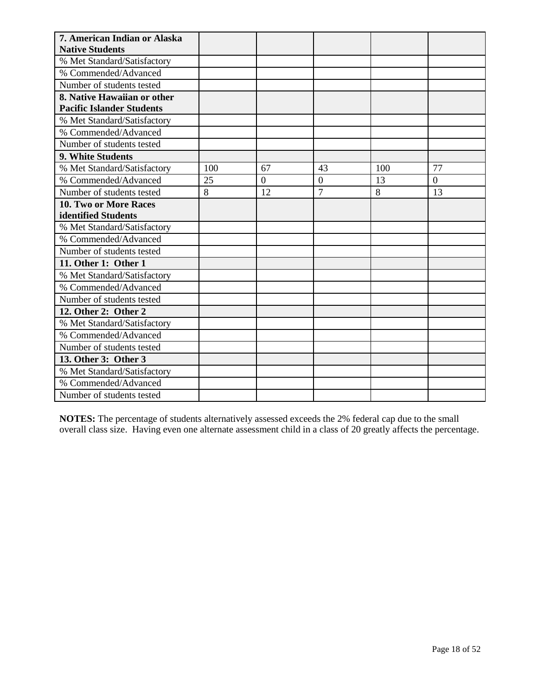| 7. American Indian or Alaska     |     |                |                  |     |                |
|----------------------------------|-----|----------------|------------------|-----|----------------|
| <b>Native Students</b>           |     |                |                  |     |                |
| % Met Standard/Satisfactory      |     |                |                  |     |                |
| % Commended/Advanced             |     |                |                  |     |                |
| Number of students tested        |     |                |                  |     |                |
| 8. Native Hawaiian or other      |     |                |                  |     |                |
| <b>Pacific Islander Students</b> |     |                |                  |     |                |
| % Met Standard/Satisfactory      |     |                |                  |     |                |
| % Commended/Advanced             |     |                |                  |     |                |
| Number of students tested        |     |                |                  |     |                |
| 9. White Students                |     |                |                  |     |                |
| % Met Standard/Satisfactory      | 100 | 67             | 43               | 100 | 77             |
| % Commended/Advanced             | 25  | $\overline{0}$ | $\boldsymbol{0}$ | 13  | $\overline{0}$ |
| Number of students tested        | 8   | 12             | $\overline{7}$   | 8   | 13             |
| 10. Two or More Races            |     |                |                  |     |                |
| identified Students              |     |                |                  |     |                |
| % Met Standard/Satisfactory      |     |                |                  |     |                |
| % Commended/Advanced             |     |                |                  |     |                |
| Number of students tested        |     |                |                  |     |                |
| 11. Other 1: Other 1             |     |                |                  |     |                |
| % Met Standard/Satisfactory      |     |                |                  |     |                |
| % Commended/Advanced             |     |                |                  |     |                |
| Number of students tested        |     |                |                  |     |                |
| 12. Other 2: Other 2             |     |                |                  |     |                |
| % Met Standard/Satisfactory      |     |                |                  |     |                |
| % Commended/Advanced             |     |                |                  |     |                |
| Number of students tested        |     |                |                  |     |                |
| 13. Other 3: Other 3             |     |                |                  |     |                |
| % Met Standard/Satisfactory      |     |                |                  |     |                |
| % Commended/Advanced             |     |                |                  |     |                |
| Number of students tested        |     |                |                  |     |                |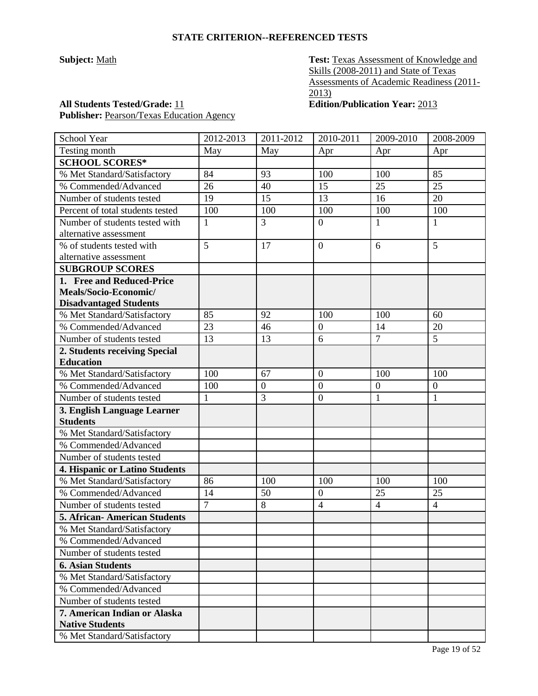**Subject:** Math **Test: Texas Assessment of Knowledge and** Skills (2008-2011) and State of Texas Assessments of Academic Readiness (2011-  $\overline{2013}$ 

**All Students Tested/Grade:** 11 **Edition/Publication Year:** 2013 Publisher: Pearson/Texas Education Agency

| School Year                          | 2012-2013      | 2011-2012        | 2010-2011        | 2009-2010        | 2008-2009        |
|--------------------------------------|----------------|------------------|------------------|------------------|------------------|
| Testing month                        | May            | May              | Apr              | Apr              | Apr              |
| <b>SCHOOL SCORES*</b>                |                |                  |                  |                  |                  |
| % Met Standard/Satisfactory          | 84             | 93               | 100              | 100              | 85               |
| % Commended/Advanced                 | 26             | 40               | 15               | 25               | 25               |
| Number of students tested            | 19             | 15               | 13               | 16               | 20               |
| Percent of total students tested     | 100            | 100              | 100              | 100              | 100              |
| Number of students tested with       | 1              | 3                | $\boldsymbol{0}$ | 1                | $\mathbf{1}$     |
| alternative assessment               |                |                  |                  |                  |                  |
| % of students tested with            | 5              | 17               | $\mathbf{0}$     | 6                | $\overline{5}$   |
| alternative assessment               |                |                  |                  |                  |                  |
| <b>SUBGROUP SCORES</b>               |                |                  |                  |                  |                  |
| 1. Free and Reduced-Price            |                |                  |                  |                  |                  |
| Meals/Socio-Economic/                |                |                  |                  |                  |                  |
| <b>Disadvantaged Students</b>        |                |                  |                  |                  |                  |
| % Met Standard/Satisfactory          | 85             | 92               | 100              | 100              | 60               |
| % Commended/Advanced                 | 23             | 46               | $\boldsymbol{0}$ | 14               | 20               |
| Number of students tested            | 13             | 13               | $\overline{6}$   | $\overline{7}$   | $\overline{5}$   |
| 2. Students receiving Special        |                |                  |                  |                  |                  |
| <b>Education</b>                     |                |                  |                  |                  |                  |
| % Met Standard/Satisfactory          | 100            | 67               | $\overline{0}$   | 100              | 100              |
| % Commended/Advanced                 | 100            | $\boldsymbol{0}$ | $\boldsymbol{0}$ | $\boldsymbol{0}$ | $\boldsymbol{0}$ |
| Number of students tested            | $\mathbf{1}$   | 3                | $\boldsymbol{0}$ | $\mathbf{1}$     | $\mathbf{1}$     |
| 3. English Language Learner          |                |                  |                  |                  |                  |
| <b>Students</b>                      |                |                  |                  |                  |                  |
| % Met Standard/Satisfactory          |                |                  |                  |                  |                  |
| % Commended/Advanced                 |                |                  |                  |                  |                  |
| Number of students tested            |                |                  |                  |                  |                  |
| 4. Hispanic or Latino Students       |                |                  |                  |                  |                  |
| % Met Standard/Satisfactory          | 86             | 100              | 100              | 100              | 100              |
| % Commended/Advanced                 | 14             | 50               | $\boldsymbol{0}$ | 25               | 25               |
| Number of students tested            | $\overline{7}$ | 8                | $\overline{4}$   | $\overline{4}$   | $\overline{4}$   |
| <b>5. African- American Students</b> |                |                  |                  |                  |                  |
| % Met Standard/Satisfactory          |                |                  |                  |                  |                  |
| % Commended/Advanced                 |                |                  |                  |                  |                  |
| Number of students tested            |                |                  |                  |                  |                  |
| <b>6. Asian Students</b>             |                |                  |                  |                  |                  |
| % Met Standard/Satisfactory          |                |                  |                  |                  |                  |
| % Commended/Advanced                 |                |                  |                  |                  |                  |
| Number of students tested            |                |                  |                  |                  |                  |
| 7. American Indian or Alaska         |                |                  |                  |                  |                  |
| <b>Native Students</b>               |                |                  |                  |                  |                  |
| % Met Standard/Satisfactory          |                |                  |                  |                  |                  |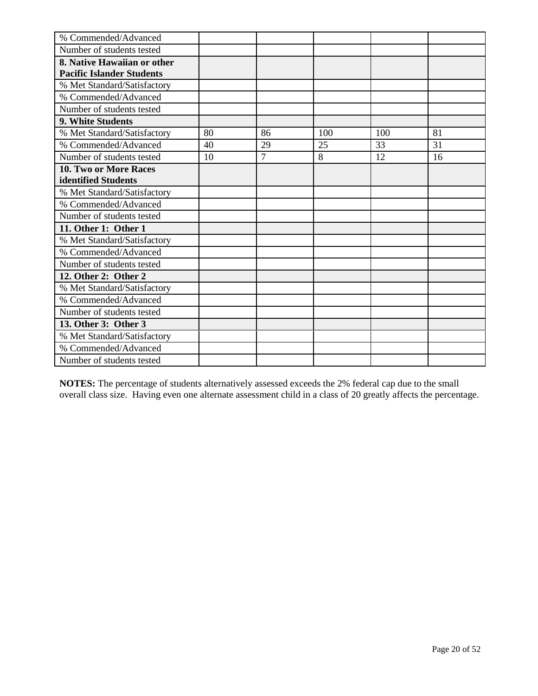| % Commended/Advanced             |    |                |     |     |    |
|----------------------------------|----|----------------|-----|-----|----|
| Number of students tested        |    |                |     |     |    |
| 8. Native Hawaiian or other      |    |                |     |     |    |
| <b>Pacific Islander Students</b> |    |                |     |     |    |
| % Met Standard/Satisfactory      |    |                |     |     |    |
| % Commended/Advanced             |    |                |     |     |    |
| Number of students tested        |    |                |     |     |    |
| 9. White Students                |    |                |     |     |    |
| % Met Standard/Satisfactory      | 80 | 86             | 100 | 100 | 81 |
| % Commended/Advanced             | 40 | 29             | 25  | 33  | 31 |
| Number of students tested        | 10 | $\overline{7}$ | 8   | 12  | 16 |
| 10. Two or More Races            |    |                |     |     |    |
| identified Students              |    |                |     |     |    |
| % Met Standard/Satisfactory      |    |                |     |     |    |
| % Commended/Advanced             |    |                |     |     |    |
| Number of students tested        |    |                |     |     |    |
| 11. Other 1: Other 1             |    |                |     |     |    |
| % Met Standard/Satisfactory      |    |                |     |     |    |
| % Commended/Advanced             |    |                |     |     |    |
| Number of students tested        |    |                |     |     |    |
| 12. Other 2: Other 2             |    |                |     |     |    |
| % Met Standard/Satisfactory      |    |                |     |     |    |
| % Commended/Advanced             |    |                |     |     |    |
| Number of students tested        |    |                |     |     |    |
| 13. Other 3: Other 3             |    |                |     |     |    |
| % Met Standard/Satisfactory      |    |                |     |     |    |
| % Commended/Advanced             |    |                |     |     |    |
| Number of students tested        |    |                |     |     |    |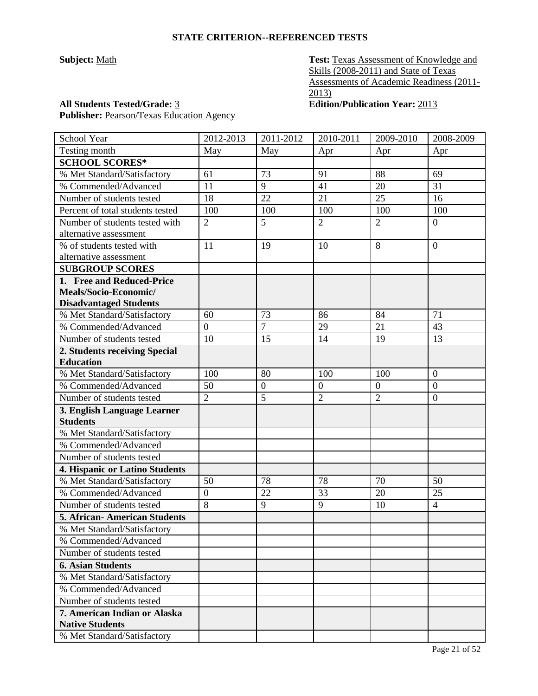**Subject:** <u>Math</u> **Test: Texas Assessment of Knowledge and** Skills (2008-2011) and State of Texas Assessments of Academic Readiness (2011- 2013)

## **All Students Tested/Grade:** 3 **Edition/Publication Year:** 2013

Publisher: Pearson/Texas Education Agency

| School Year                         | 2012-2013      | 2011-2012        | 2010-2011        | 2009-2010      | 2008-2009        |
|-------------------------------------|----------------|------------------|------------------|----------------|------------------|
| Testing month                       | May            | May              | Apr              | Apr            | Apr              |
| <b>SCHOOL SCORES*</b>               |                |                  |                  |                |                  |
| % Met Standard/Satisfactory         | 61             | 73               | 91               | 88             | 69               |
| % Commended/Advanced                | 11             | 9                | 41               | 20             | 31               |
| Number of students tested           | 18             | 22               | 21               | 25             | 16               |
| Percent of total students tested    | 100            | 100              | 100              | 100            | 100              |
| Number of students tested with      | $\overline{2}$ | 5                | $\overline{2}$   | $\overline{2}$ | $\boldsymbol{0}$ |
| alternative assessment              |                |                  |                  |                |                  |
| % of students tested with           | 11             | 19               | 10               | 8              | $\overline{0}$   |
| alternative assessment              |                |                  |                  |                |                  |
| <b>SUBGROUP SCORES</b>              |                |                  |                  |                |                  |
| 1. Free and Reduced-Price           |                |                  |                  |                |                  |
| Meals/Socio-Economic/               |                |                  |                  |                |                  |
| <b>Disadvantaged Students</b>       |                |                  |                  |                |                  |
| % Met Standard/Satisfactory         | 60             | 73               | 86               | 84             | 71               |
| % Commended/Advanced                | $\overline{0}$ | $\overline{7}$   | 29               | 21             | 43               |
| Number of students tested           | 10             | 15               | 14               | 19             | 13               |
| 2. Students receiving Special       |                |                  |                  |                |                  |
| <b>Education</b>                    |                |                  |                  |                |                  |
| % Met Standard/Satisfactory         | 100            | 80               | 100              | 100            | $\overline{0}$   |
| % Commended/Advanced                | 50             | $\boldsymbol{0}$ | $\boldsymbol{0}$ | $\mathbf{0}$   | $\mathbf{0}$     |
| Number of students tested           | $\overline{2}$ | 5                | $\overline{2}$   | $\overline{2}$ | $\mathbf{0}$     |
| 3. English Language Learner         |                |                  |                  |                |                  |
| <b>Students</b>                     |                |                  |                  |                |                  |
| % Met Standard/Satisfactory         |                |                  |                  |                |                  |
| % Commended/Advanced                |                |                  |                  |                |                  |
| Number of students tested           |                |                  |                  |                |                  |
| 4. Hispanic or Latino Students      |                |                  |                  |                |                  |
| % Met Standard/Satisfactory         | 50             | 78               | 78               | 70             | 50               |
| % Commended/Advanced                | $\overline{0}$ | 22               | 33               | 20             | 25               |
| Number of students tested           | 8              | 9                | 9                | 10             | $\overline{4}$   |
| <b>5. African-American Students</b> |                |                  |                  |                |                  |
| % Met Standard/Satisfactory         |                |                  |                  |                |                  |
| % Commended/Advanced                |                |                  |                  |                |                  |
| Number of students tested           |                |                  |                  |                |                  |
| <b>6. Asian Students</b>            |                |                  |                  |                |                  |
| % Met Standard/Satisfactory         |                |                  |                  |                |                  |
| % Commended/Advanced                |                |                  |                  |                |                  |
| Number of students tested           |                |                  |                  |                |                  |
| 7. American Indian or Alaska        |                |                  |                  |                |                  |
| <b>Native Students</b>              |                |                  |                  |                |                  |
| % Met Standard/Satisfactory         |                |                  |                  |                |                  |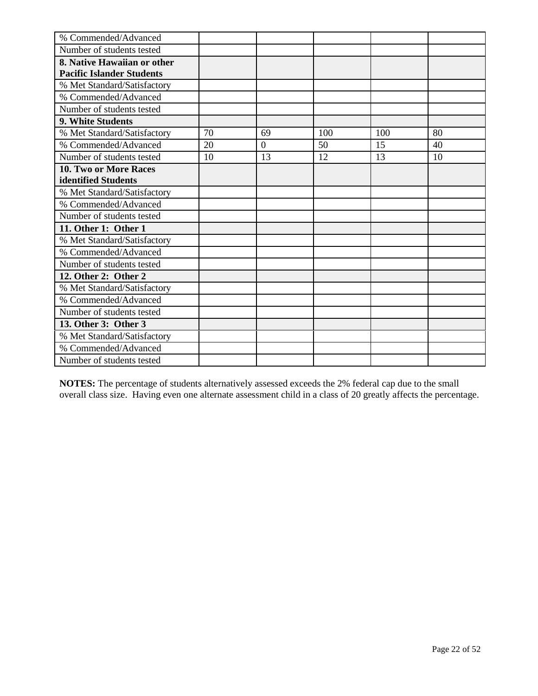| % Commended/Advanced             |    |          |     |     |    |
|----------------------------------|----|----------|-----|-----|----|
| Number of students tested        |    |          |     |     |    |
| 8. Native Hawaiian or other      |    |          |     |     |    |
| <b>Pacific Islander Students</b> |    |          |     |     |    |
| % Met Standard/Satisfactory      |    |          |     |     |    |
| % Commended/Advanced             |    |          |     |     |    |
| Number of students tested        |    |          |     |     |    |
| 9. White Students                |    |          |     |     |    |
| % Met Standard/Satisfactory      | 70 | 69       | 100 | 100 | 80 |
| % Commended/Advanced             | 20 | $\theta$ | 50  | 15  | 40 |
| Number of students tested        | 10 | 13       | 12  | 13  | 10 |
| 10. Two or More Races            |    |          |     |     |    |
| identified Students              |    |          |     |     |    |
| % Met Standard/Satisfactory      |    |          |     |     |    |
| % Commended/Advanced             |    |          |     |     |    |
| Number of students tested        |    |          |     |     |    |
| 11. Other 1: Other 1             |    |          |     |     |    |
| % Met Standard/Satisfactory      |    |          |     |     |    |
| % Commended/Advanced             |    |          |     |     |    |
| Number of students tested        |    |          |     |     |    |
| 12. Other 2: Other 2             |    |          |     |     |    |
| % Met Standard/Satisfactory      |    |          |     |     |    |
| % Commended/Advanced             |    |          |     |     |    |
| Number of students tested        |    |          |     |     |    |
| 13. Other 3: Other 3             |    |          |     |     |    |
| % Met Standard/Satisfactory      |    |          |     |     |    |
| % Commended/Advanced             |    |          |     |     |    |
| Number of students tested        |    |          |     |     |    |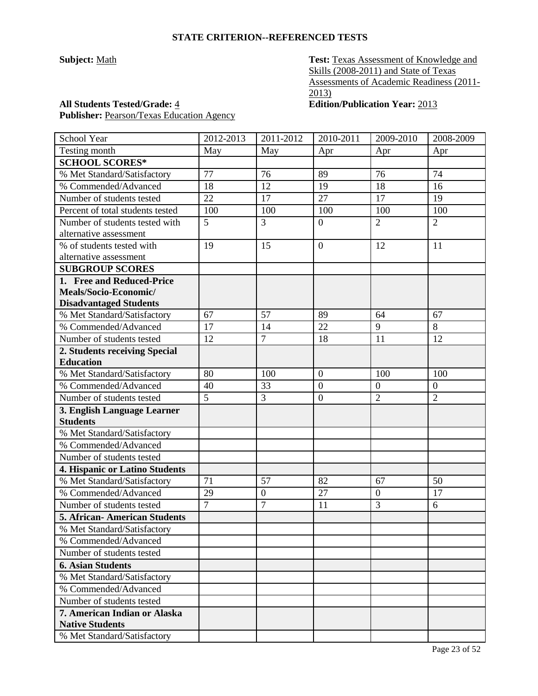**Subject:** <u>Math</u> **Test: Texas Assessment of Knowledge and** Skills (2008-2011) and State of Texas Assessments of Academic Readiness (2011- 2013)

## **All Students Tested/Grade:** 4 **Edition/Publication Year:** 2013 Publisher: Pearson/Texas Education Agency

| School Year                      | 2012-2013      | 2011-2012        | 2010-2011        | 2009-2010        | 2008-2009      |
|----------------------------------|----------------|------------------|------------------|------------------|----------------|
| Testing month                    | May            | May              | Apr              | Apr              | Apr            |
| <b>SCHOOL SCORES*</b>            |                |                  |                  |                  |                |
| % Met Standard/Satisfactory      | 77             | 76               | 89               | 76               | 74             |
| % Commended/Advanced             | 18             | 12               | 19               | 18               | 16             |
| Number of students tested        | 22             | 17               | 27               | 17               | 19             |
| Percent of total students tested | 100            | 100              | 100              | 100              | 100            |
| Number of students tested with   | 5              | 3                | $\boldsymbol{0}$ | $\overline{2}$   | $\overline{2}$ |
| alternative assessment           |                |                  |                  |                  |                |
| % of students tested with        | 19             | 15               | $\overline{0}$   | 12               | 11             |
| alternative assessment           |                |                  |                  |                  |                |
| <b>SUBGROUP SCORES</b>           |                |                  |                  |                  |                |
| 1. Free and Reduced-Price        |                |                  |                  |                  |                |
| Meals/Socio-Economic/            |                |                  |                  |                  |                |
| <b>Disadvantaged Students</b>    |                |                  |                  |                  |                |
| % Met Standard/Satisfactory      | 67             | 57               | 89               | 64               | 67             |
| % Commended/Advanced             | 17             | 14               | 22               | 9                | 8              |
| Number of students tested        | 12             | $\overline{7}$   | 18               | 11               | 12             |
| 2. Students receiving Special    |                |                  |                  |                  |                |
| <b>Education</b>                 |                |                  |                  |                  |                |
| % Met Standard/Satisfactory      | 80             | 100              | $\overline{0}$   | 100              | 100            |
| % Commended/Advanced             | 40             | 33               | $\overline{0}$   | $\boldsymbol{0}$ | $\mathbf{0}$   |
| Number of students tested        | 5              | 3                | $\boldsymbol{0}$ | $\overline{2}$   | $\overline{2}$ |
| 3. English Language Learner      |                |                  |                  |                  |                |
| <b>Students</b>                  |                |                  |                  |                  |                |
| % Met Standard/Satisfactory      |                |                  |                  |                  |                |
| % Commended/Advanced             |                |                  |                  |                  |                |
| Number of students tested        |                |                  |                  |                  |                |
| 4. Hispanic or Latino Students   |                |                  |                  |                  |                |
| % Met Standard/Satisfactory      | 71             | 57               | 82               | 67               | 50             |
| % Commended/Advanced             | 29             | $\boldsymbol{0}$ | 27               | $\boldsymbol{0}$ | 17             |
| Number of students tested        | $\overline{7}$ | 7                | 11               | 3                | 6              |
| 5. African-American Students     |                |                  |                  |                  |                |
| % Met Standard/Satisfactory      |                |                  |                  |                  |                |
| % Commended/Advanced             |                |                  |                  |                  |                |
| Number of students tested        |                |                  |                  |                  |                |
| <b>6. Asian Students</b>         |                |                  |                  |                  |                |
| % Met Standard/Satisfactory      |                |                  |                  |                  |                |
| % Commended/Advanced             |                |                  |                  |                  |                |
| Number of students tested        |                |                  |                  |                  |                |
| 7. American Indian or Alaska     |                |                  |                  |                  |                |
| <b>Native Students</b>           |                |                  |                  |                  |                |
| % Met Standard/Satisfactory      |                |                  |                  |                  |                |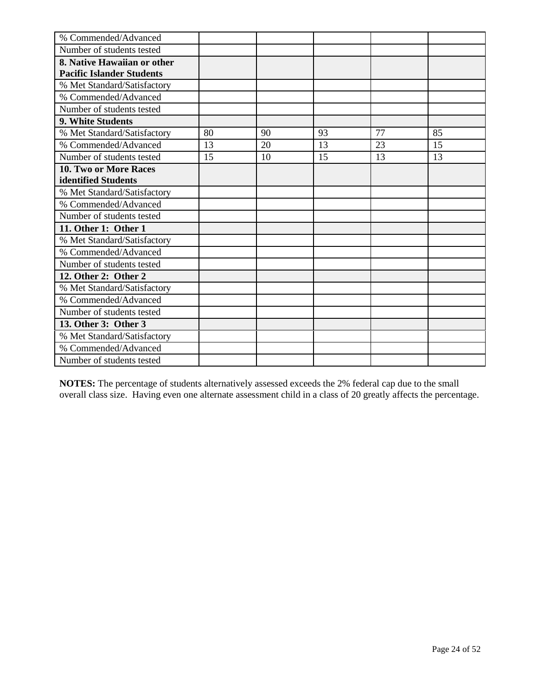| % Commended/Advanced             |    |    |    |    |    |
|----------------------------------|----|----|----|----|----|
| Number of students tested        |    |    |    |    |    |
| 8. Native Hawaiian or other      |    |    |    |    |    |
| <b>Pacific Islander Students</b> |    |    |    |    |    |
| % Met Standard/Satisfactory      |    |    |    |    |    |
| % Commended/Advanced             |    |    |    |    |    |
| Number of students tested        |    |    |    |    |    |
| 9. White Students                |    |    |    |    |    |
| % Met Standard/Satisfactory      | 80 | 90 | 93 | 77 | 85 |
| % Commended/Advanced             | 13 | 20 | 13 | 23 | 15 |
| Number of students tested        | 15 | 10 | 15 | 13 | 13 |
| 10. Two or More Races            |    |    |    |    |    |
| identified Students              |    |    |    |    |    |
| % Met Standard/Satisfactory      |    |    |    |    |    |
| % Commended/Advanced             |    |    |    |    |    |
| Number of students tested        |    |    |    |    |    |
| 11. Other 1: Other 1             |    |    |    |    |    |
| % Met Standard/Satisfactory      |    |    |    |    |    |
| % Commended/Advanced             |    |    |    |    |    |
| Number of students tested        |    |    |    |    |    |
| 12. Other 2: Other 2             |    |    |    |    |    |
| % Met Standard/Satisfactory      |    |    |    |    |    |
| % Commended/Advanced             |    |    |    |    |    |
| Number of students tested        |    |    |    |    |    |
| 13. Other 3: Other 3             |    |    |    |    |    |
| % Met Standard/Satisfactory      |    |    |    |    |    |
| % Commended/Advanced             |    |    |    |    |    |
| Number of students tested        |    |    |    |    |    |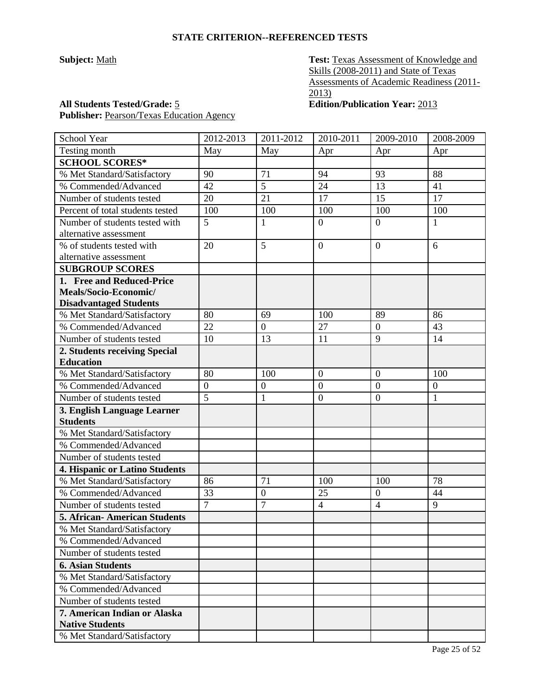**Subject:** <u>Math</u> **Test: Texas Assessment of Knowledge and** Skills (2008-2011) and State of Texas Assessments of Academic Readiness (2011- 2013)

## **All Students Tested/Grade:** 5 **Edition/Publication Year:** 2013

Publisher: Pearson/Texas Education Agency

| School Year                         | 2012-2013      | 2011-2012       | 2010-2011        | 2009-2010        | 2008-2009        |
|-------------------------------------|----------------|-----------------|------------------|------------------|------------------|
| Testing month                       | May            | May             | Apr              | Apr              | Apr              |
| <b>SCHOOL SCORES*</b>               |                |                 |                  |                  |                  |
| % Met Standard/Satisfactory         | 90             | 71              | 94               | 93               | 88               |
| % Commended/Advanced                | 42             | 5               | 24               | 13               | 41               |
| Number of students tested           | 20             | $\overline{21}$ | 17               | 15               | 17               |
| Percent of total students tested    | 100            | 100             | 100              | 100              | 100              |
| Number of students tested with      | 5              | $\mathbf{1}$    | $\overline{0}$   | $\overline{0}$   | 1                |
| alternative assessment              |                |                 |                  |                  |                  |
| % of students tested with           | 20             | 5               | $\overline{0}$   | $\overline{0}$   | 6                |
| alternative assessment              |                |                 |                  |                  |                  |
| <b>SUBGROUP SCORES</b>              |                |                 |                  |                  |                  |
| 1. Free and Reduced-Price           |                |                 |                  |                  |                  |
| Meals/Socio-Economic/               |                |                 |                  |                  |                  |
| <b>Disadvantaged Students</b>       |                |                 |                  |                  |                  |
| % Met Standard/Satisfactory         | 80             | 69              | 100              | 89               | 86               |
| % Commended/Advanced                | 22             | $\mathbf{0}$    | 27               | $\mathbf{0}$     | 43               |
| Number of students tested           | 10             | 13              | 11               | 9                | 14               |
| 2. Students receiving Special       |                |                 |                  |                  |                  |
| <b>Education</b>                    |                |                 |                  |                  |                  |
| % Met Standard/Satisfactory         | 80             | 100             | $\overline{0}$   | $\mathbf{0}$     | 100              |
| % Commended/Advanced                | $\mathbf{0}$   | $\overline{0}$  | $\overline{0}$   | $\boldsymbol{0}$ | $\boldsymbol{0}$ |
| Number of students tested           | 5              | $\mathbf{1}$    | $\boldsymbol{0}$ | $\overline{0}$   | 1                |
| 3. English Language Learner         |                |                 |                  |                  |                  |
| <b>Students</b>                     |                |                 |                  |                  |                  |
| % Met Standard/Satisfactory         |                |                 |                  |                  |                  |
| % Commended/Advanced                |                |                 |                  |                  |                  |
| Number of students tested           |                |                 |                  |                  |                  |
| 4. Hispanic or Latino Students      |                |                 |                  |                  |                  |
| % Met Standard/Satisfactory         | 86             | 71              | 100              | 100              | 78               |
| % Commended/Advanced                | 33             | $\overline{0}$  | 25               | $\boldsymbol{0}$ | 44               |
| Number of students tested           | $\overline{7}$ | 7               | $\overline{4}$   | $\overline{4}$   | 9                |
| <b>5. African-American Students</b> |                |                 |                  |                  |                  |
| % Met Standard/Satisfactory         |                |                 |                  |                  |                  |
| % Commended/Advanced                |                |                 |                  |                  |                  |
| Number of students tested           |                |                 |                  |                  |                  |
| <b>6. Asian Students</b>            |                |                 |                  |                  |                  |
| % Met Standard/Satisfactory         |                |                 |                  |                  |                  |
| % Commended/Advanced                |                |                 |                  |                  |                  |
| Number of students tested           |                |                 |                  |                  |                  |
| 7. American Indian or Alaska        |                |                 |                  |                  |                  |
| <b>Native Students</b>              |                |                 |                  |                  |                  |
| % Met Standard/Satisfactory         |                |                 |                  |                  |                  |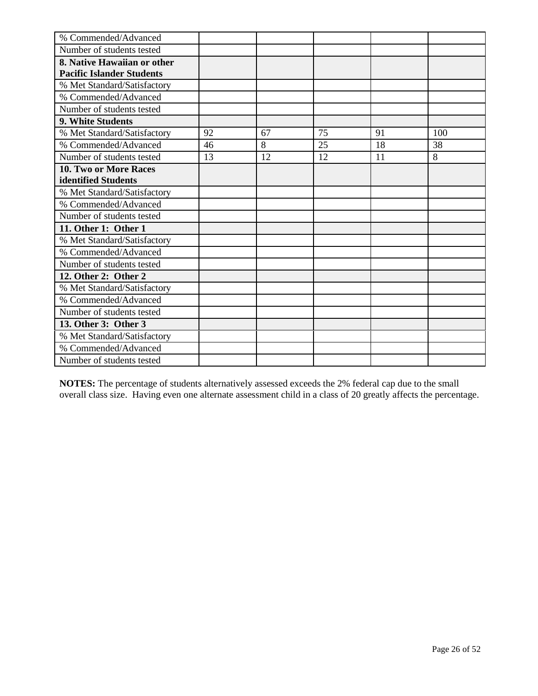| % Commended/Advanced             |    |    |    |    |     |
|----------------------------------|----|----|----|----|-----|
| Number of students tested        |    |    |    |    |     |
| 8. Native Hawaiian or other      |    |    |    |    |     |
| <b>Pacific Islander Students</b> |    |    |    |    |     |
| % Met Standard/Satisfactory      |    |    |    |    |     |
| % Commended/Advanced             |    |    |    |    |     |
| Number of students tested        |    |    |    |    |     |
| 9. White Students                |    |    |    |    |     |
| % Met Standard/Satisfactory      | 92 | 67 | 75 | 91 | 100 |
| % Commended/Advanced             | 46 | 8  | 25 | 18 | 38  |
| Number of students tested        | 13 | 12 | 12 | 11 | 8   |
| 10. Two or More Races            |    |    |    |    |     |
| identified Students              |    |    |    |    |     |
| % Met Standard/Satisfactory      |    |    |    |    |     |
| % Commended/Advanced             |    |    |    |    |     |
| Number of students tested        |    |    |    |    |     |
| 11. Other 1: Other 1             |    |    |    |    |     |
| % Met Standard/Satisfactory      |    |    |    |    |     |
| % Commended/Advanced             |    |    |    |    |     |
| Number of students tested        |    |    |    |    |     |
| 12. Other 2: Other 2             |    |    |    |    |     |
| % Met Standard/Satisfactory      |    |    |    |    |     |
| % Commended/Advanced             |    |    |    |    |     |
| Number of students tested        |    |    |    |    |     |
| 13. Other 3: Other 3             |    |    |    |    |     |
| % Met Standard/Satisfactory      |    |    |    |    |     |
| % Commended/Advanced             |    |    |    |    |     |
| Number of students tested        |    |    |    |    |     |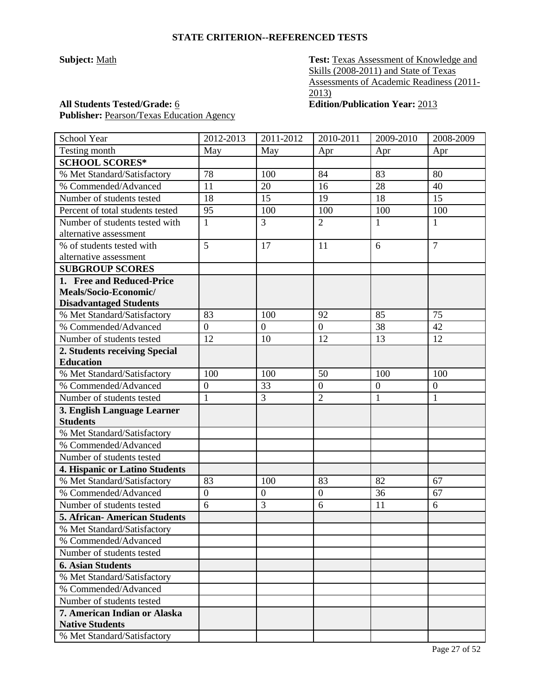**Subject:** <u>Math</u> **Test: Texas Assessment of Knowledge and** Skills (2008-2011) and State of Texas Assessments of Academic Readiness (2011- 2013)

Publisher: Pearson/Texas Education Agency

**All Students Tested/Grade:** 6 **Edition/Publication Year:** 2013

| <b>School Year</b>               | 2012-2013        | 2011-2012        | 2010-2011        | 2009-2010        | 2008-2009        |
|----------------------------------|------------------|------------------|------------------|------------------|------------------|
| Testing month                    | May              | May              | Apr              | Apr              | Apr              |
| <b>SCHOOL SCORES*</b>            |                  |                  |                  |                  |                  |
| % Met Standard/Satisfactory      | 78               | 100              | 84               | 83               | 80               |
| % Commended/Advanced             | 11               | 20               | 16               | 28               | 40               |
| Number of students tested        | 18               | 15               | 19               | 18               | 15               |
| Percent of total students tested | 95               | 100              | 100              | 100              | 100              |
| Number of students tested with   | $\mathbf{1}$     | 3                | $\overline{2}$   | $\mathbf{1}$     | $\mathbf{1}$     |
| alternative assessment           |                  |                  |                  |                  |                  |
| % of students tested with        | 5                | 17               | 11               | 6                | $\overline{7}$   |
| alternative assessment           |                  |                  |                  |                  |                  |
| <b>SUBGROUP SCORES</b>           |                  |                  |                  |                  |                  |
| 1. Free and Reduced-Price        |                  |                  |                  |                  |                  |
| Meals/Socio-Economic/            |                  |                  |                  |                  |                  |
| <b>Disadvantaged Students</b>    |                  |                  |                  |                  |                  |
| % Met Standard/Satisfactory      | 83               | 100              | 92               | 85               | 75               |
| % Commended/Advanced             | $\overline{0}$   | $\boldsymbol{0}$ | $\overline{0}$   | 38               | 42               |
| Number of students tested        | 12               | 10               | 12               | 13               | 12               |
| 2. Students receiving Special    |                  |                  |                  |                  |                  |
| <b>Education</b>                 |                  |                  |                  |                  |                  |
| % Met Standard/Satisfactory      | 100              | 100              | 50               | 100              | 100              |
| % Commended/Advanced             | $\boldsymbol{0}$ | 33               | $\boldsymbol{0}$ | $\boldsymbol{0}$ | $\boldsymbol{0}$ |
| Number of students tested        | $\mathbf{1}$     | 3                | $\overline{2}$   | $\mathbf{1}$     | $\mathbf{1}$     |
| 3. English Language Learner      |                  |                  |                  |                  |                  |
| <b>Students</b>                  |                  |                  |                  |                  |                  |
| % Met Standard/Satisfactory      |                  |                  |                  |                  |                  |
| % Commended/Advanced             |                  |                  |                  |                  |                  |
| Number of students tested        |                  |                  |                  |                  |                  |
| 4. Hispanic or Latino Students   |                  |                  |                  |                  |                  |
| % Met Standard/Satisfactory      | 83               | 100              | 83               | 82               | 67               |
| % Commended/Advanced             | $\boldsymbol{0}$ | $\boldsymbol{0}$ | $\boldsymbol{0}$ | 36               | 67               |
| Number of students tested        | 6                | 3                | 6                | 11               | 6                |
| 5. African- American Students    |                  |                  |                  |                  |                  |
| % Met Standard/Satisfactory      |                  |                  |                  |                  |                  |
| % Commended/Advanced             |                  |                  |                  |                  |                  |
| Number of students tested        |                  |                  |                  |                  |                  |
| <b>6. Asian Students</b>         |                  |                  |                  |                  |                  |
| % Met Standard/Satisfactory      |                  |                  |                  |                  |                  |
| % Commended/Advanced             |                  |                  |                  |                  |                  |
| Number of students tested        |                  |                  |                  |                  |                  |
| 7. American Indian or Alaska     |                  |                  |                  |                  |                  |
| <b>Native Students</b>           |                  |                  |                  |                  |                  |
| % Met Standard/Satisfactory      |                  |                  |                  |                  |                  |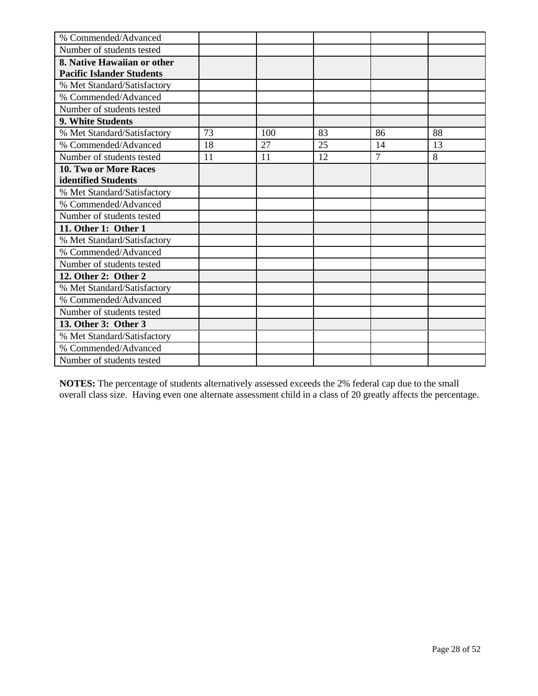| % Commended/Advanced             |    |     |    |                |    |
|----------------------------------|----|-----|----|----------------|----|
| Number of students tested        |    |     |    |                |    |
| 8. Native Hawaiian or other      |    |     |    |                |    |
| <b>Pacific Islander Students</b> |    |     |    |                |    |
| % Met Standard/Satisfactory      |    |     |    |                |    |
| % Commended/Advanced             |    |     |    |                |    |
| Number of students tested        |    |     |    |                |    |
| 9. White Students                |    |     |    |                |    |
| % Met Standard/Satisfactory      | 73 | 100 | 83 | 86             | 88 |
| % Commended/Advanced             | 18 | 27  | 25 | 14             | 13 |
| Number of students tested        | 11 | 11  | 12 | $\overline{7}$ | 8  |
| 10. Two or More Races            |    |     |    |                |    |
| identified Students              |    |     |    |                |    |
| % Met Standard/Satisfactory      |    |     |    |                |    |
| % Commended/Advanced             |    |     |    |                |    |
| Number of students tested        |    |     |    |                |    |
| 11. Other 1: Other 1             |    |     |    |                |    |
| % Met Standard/Satisfactory      |    |     |    |                |    |
| % Commended/Advanced             |    |     |    |                |    |
| Number of students tested        |    |     |    |                |    |
| 12. Other 2: Other 2             |    |     |    |                |    |
| % Met Standard/Satisfactory      |    |     |    |                |    |
| % Commended/Advanced             |    |     |    |                |    |
| Number of students tested        |    |     |    |                |    |
| 13. Other 3: Other 3             |    |     |    |                |    |
| % Met Standard/Satisfactory      |    |     |    |                |    |
| % Commended/Advanced             |    |     |    |                |    |
| Number of students tested        |    |     |    |                |    |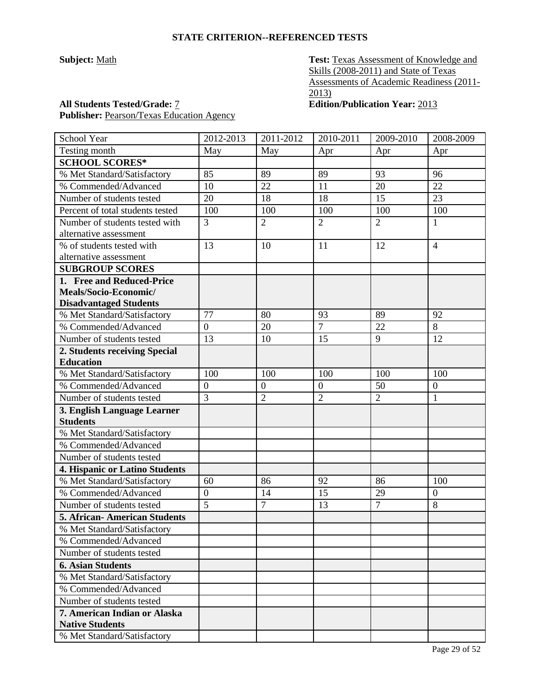**Subject:** Math **Test: Texas Assessment of Knowledge and** Skills (2008-2011) and State of Texas Assessments of Academic Readiness (2011-  $\overline{2013}$ 

**All Students Tested/Grade:** 7 **Edition/Publication Year:** 2013 Publisher: Pearson/Texas Education Agency

| School Year                         | 2012-2013        | 2011-2012        | 2010-2011        | 2009-2010      | 2008-2009        |
|-------------------------------------|------------------|------------------|------------------|----------------|------------------|
| Testing month                       | May              | May              | Apr              | Apr            | Apr              |
| <b>SCHOOL SCORES*</b>               |                  |                  |                  |                |                  |
| % Met Standard/Satisfactory         | 85               | 89               | 89               | 93             | 96               |
| % Commended/Advanced                | 10               | 22               | 11               | 20             | 22               |
| Number of students tested           | 20               | 18               | 18               | 15             | 23               |
| Percent of total students tested    | 100              | 100              | 100              | 100            | 100              |
| Number of students tested with      | 3                | $\overline{2}$   | $\overline{2}$   | $\overline{2}$ | $\mathbf{1}$     |
| alternative assessment              |                  |                  |                  |                |                  |
| % of students tested with           | 13               | 10               | 11               | 12             | $\overline{4}$   |
| alternative assessment              |                  |                  |                  |                |                  |
| <b>SUBGROUP SCORES</b>              |                  |                  |                  |                |                  |
| 1. Free and Reduced-Price           |                  |                  |                  |                |                  |
| Meals/Socio-Economic/               |                  |                  |                  |                |                  |
| <b>Disadvantaged Students</b>       |                  |                  |                  |                |                  |
| % Met Standard/Satisfactory         | 77               | 80               | 93               | 89             | 92               |
| % Commended/Advanced                | $\overline{0}$   | 20               | $\overline{7}$   | 22             | 8                |
| Number of students tested           | 13               | 10               | 15               | 9              | 12               |
| 2. Students receiving Special       |                  |                  |                  |                |                  |
| <b>Education</b>                    |                  |                  |                  |                |                  |
| % Met Standard/Satisfactory         | 100              | 100              | 100              | 100            | 100              |
| % Commended/Advanced                | $\boldsymbol{0}$ | $\boldsymbol{0}$ | $\boldsymbol{0}$ | 50             | $\boldsymbol{0}$ |
| Number of students tested           | 3                | $\overline{2}$   | $\overline{2}$   | $\overline{2}$ | $\mathbf{1}$     |
| 3. English Language Learner         |                  |                  |                  |                |                  |
| <b>Students</b>                     |                  |                  |                  |                |                  |
| % Met Standard/Satisfactory         |                  |                  |                  |                |                  |
| % Commended/Advanced                |                  |                  |                  |                |                  |
| Number of students tested           |                  |                  |                  |                |                  |
| 4. Hispanic or Latino Students      |                  |                  |                  |                |                  |
| % Met Standard/Satisfactory         | 60               | 86               | 92               | 86             | 100              |
| % Commended/Advanced                | $\overline{0}$   | 14               | 15               | 29             | $\boldsymbol{0}$ |
| Number of students tested           | 5                | $\tau$           | 13               | $\overline{7}$ | 8                |
| <b>5. African-American Students</b> |                  |                  |                  |                |                  |
| % Met Standard/Satisfactory         |                  |                  |                  |                |                  |
| % Commended/Advanced                |                  |                  |                  |                |                  |
| Number of students tested           |                  |                  |                  |                |                  |
| <b>6. Asian Students</b>            |                  |                  |                  |                |                  |
| % Met Standard/Satisfactory         |                  |                  |                  |                |                  |
| % Commended/Advanced                |                  |                  |                  |                |                  |
| Number of students tested           |                  |                  |                  |                |                  |
| 7. American Indian or Alaska        |                  |                  |                  |                |                  |
| <b>Native Students</b>              |                  |                  |                  |                |                  |
| % Met Standard/Satisfactory         |                  |                  |                  |                |                  |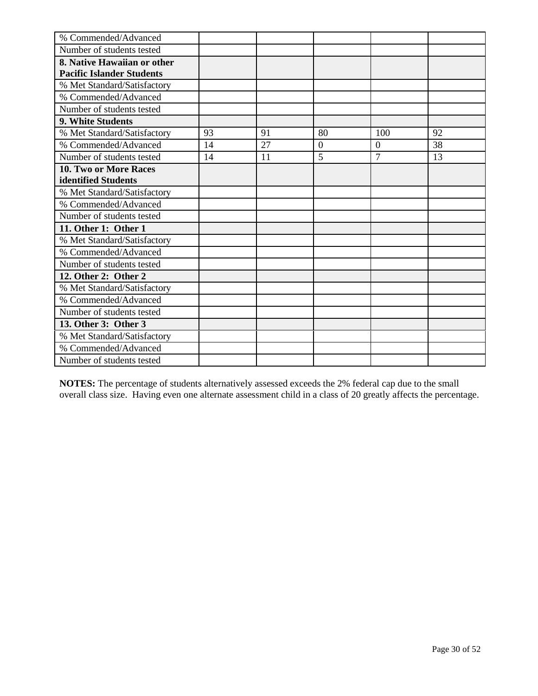| % Commended/Advanced             |    |    |                |                |    |
|----------------------------------|----|----|----------------|----------------|----|
| Number of students tested        |    |    |                |                |    |
| 8. Native Hawaiian or other      |    |    |                |                |    |
| <b>Pacific Islander Students</b> |    |    |                |                |    |
| % Met Standard/Satisfactory      |    |    |                |                |    |
| % Commended/Advanced             |    |    |                |                |    |
| Number of students tested        |    |    |                |                |    |
| 9. White Students                |    |    |                |                |    |
| % Met Standard/Satisfactory      | 93 | 91 | 80             | 100            | 92 |
| % Commended/Advanced             | 14 | 27 | $\overline{0}$ | $\overline{0}$ | 38 |
| Number of students tested        | 14 | 11 | 5              | $\overline{7}$ | 13 |
| 10. Two or More Races            |    |    |                |                |    |
| identified Students              |    |    |                |                |    |
| % Met Standard/Satisfactory      |    |    |                |                |    |
| % Commended/Advanced             |    |    |                |                |    |
| Number of students tested        |    |    |                |                |    |
| 11. Other 1: Other 1             |    |    |                |                |    |
| % Met Standard/Satisfactory      |    |    |                |                |    |
| % Commended/Advanced             |    |    |                |                |    |
| Number of students tested        |    |    |                |                |    |
| 12. Other 2: Other 2             |    |    |                |                |    |
| % Met Standard/Satisfactory      |    |    |                |                |    |
| % Commended/Advanced             |    |    |                |                |    |
| Number of students tested        |    |    |                |                |    |
| 13. Other 3: Other 3             |    |    |                |                |    |
| % Met Standard/Satisfactory      |    |    |                |                |    |
| % Commended/Advanced             |    |    |                |                |    |
| Number of students tested        |    |    |                |                |    |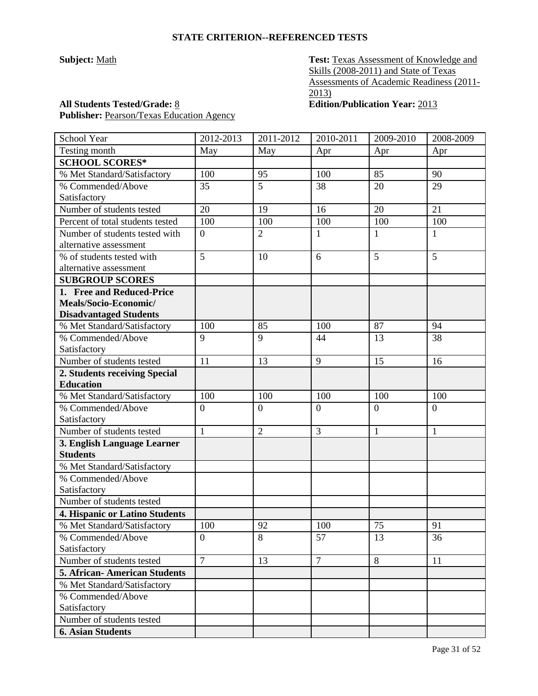**Subject:** <u>Math</u> **Test: Texas Assessment of Knowledge and** Skills (2008-2011) and State of Texas Assessments of Academic Readiness (2011- 2013)

Publisher: Pearson/Texas Education Agency

**All Students Tested/Grade:** 8 **Edition/Publication Year:** 2013

| School Year                         | 2012-2013      | 2011-2012      | 2010-2011      | 2009-2010      | 2008-2009      |
|-------------------------------------|----------------|----------------|----------------|----------------|----------------|
| Testing month                       | May            | May            | Apr            | Apr            | Apr            |
| <b>SCHOOL SCORES*</b>               |                |                |                |                |                |
| % Met Standard/Satisfactory         | 100            | 95             | 100            | 85             | 90             |
| % Commended/Above                   | 35             | 5              | 38             | 20             | 29             |
| Satisfactory                        |                |                |                |                |                |
| Number of students tested           | 20             | 19             | 16             | 20             | 21             |
| Percent of total students tested    | 100            | 100            | 100            | 100            | 100            |
| Number of students tested with      | $\overline{0}$ | $\overline{2}$ | $\mathbf{1}$   | 1              | $\mathbf{1}$   |
| alternative assessment              |                |                |                |                |                |
| % of students tested with           | 5              | 10             | 6              | 5              | 5              |
| alternative assessment              |                |                |                |                |                |
| <b>SUBGROUP SCORES</b>              |                |                |                |                |                |
| 1. Free and Reduced-Price           |                |                |                |                |                |
| Meals/Socio-Economic/               |                |                |                |                |                |
| <b>Disadvantaged Students</b>       |                |                |                |                |                |
| % Met Standard/Satisfactory         | 100            | 85             | 100            | 87             | 94             |
| % Commended/Above                   | 9              | 9              | 44             | 13             | 38             |
| Satisfactory                        |                |                |                |                |                |
| Number of students tested           | 11             | 13             | 9              | 15             | 16             |
| 2. Students receiving Special       |                |                |                |                |                |
| <b>Education</b>                    |                |                |                |                |                |
| % Met Standard/Satisfactory         | 100            | 100            | 100            | 100            | 100            |
| % Commended/Above                   | $\overline{0}$ | $\overline{0}$ | $\overline{0}$ | $\overline{0}$ | $\overline{0}$ |
| Satisfactory                        |                |                |                |                |                |
| Number of students tested           | $\mathbf{1}$   | $\overline{2}$ | $\overline{3}$ | $\mathbf{1}$   | $\mathbf{1}$   |
| 3. English Language Learner         |                |                |                |                |                |
| <b>Students</b>                     |                |                |                |                |                |
| % Met Standard/Satisfactory         |                |                |                |                |                |
| % Commended/Above                   |                |                |                |                |                |
| Satisfactory                        |                |                |                |                |                |
| Number of students tested           |                |                |                |                |                |
| 4. Hispanic or Latino Students      |                |                |                |                |                |
| % Met Standard/Satisfactory         | 100            | 92             | 100            | 75             | 91             |
| % Commended/Above                   | $\overline{0}$ | 8              | 57             | 13             | 36             |
| Satisfactory                        |                |                |                |                |                |
| Number of students tested           | $\overline{7}$ | 13             | $\overline{7}$ | 8              | 11             |
| <b>5. African-American Students</b> |                |                |                |                |                |
| % Met Standard/Satisfactory         |                |                |                |                |                |
| % Commended/Above                   |                |                |                |                |                |
| Satisfactory                        |                |                |                |                |                |
| Number of students tested           |                |                |                |                |                |
| <b>6. Asian Students</b>            |                |                |                |                |                |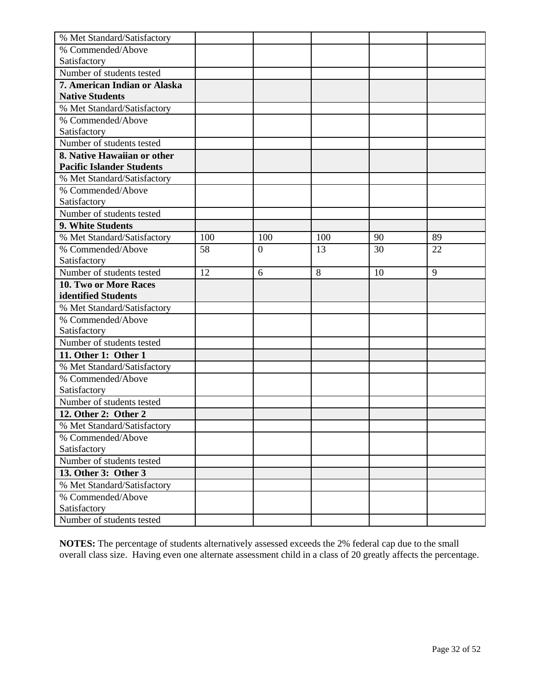| % Met Standard/Satisfactory      |     |                  |     |    |    |
|----------------------------------|-----|------------------|-----|----|----|
| % Commended/Above                |     |                  |     |    |    |
| Satisfactory                     |     |                  |     |    |    |
| Number of students tested        |     |                  |     |    |    |
| 7. American Indian or Alaska     |     |                  |     |    |    |
| <b>Native Students</b>           |     |                  |     |    |    |
| % Met Standard/Satisfactory      |     |                  |     |    |    |
| % Commended/Above                |     |                  |     |    |    |
| Satisfactory                     |     |                  |     |    |    |
| Number of students tested        |     |                  |     |    |    |
| 8. Native Hawaiian or other      |     |                  |     |    |    |
| <b>Pacific Islander Students</b> |     |                  |     |    |    |
| % Met Standard/Satisfactory      |     |                  |     |    |    |
| % Commended/Above                |     |                  |     |    |    |
| Satisfactory                     |     |                  |     |    |    |
| Number of students tested        |     |                  |     |    |    |
| 9. White Students                |     |                  |     |    |    |
| % Met Standard/Satisfactory      | 100 | 100              | 100 | 90 | 89 |
| % Commended/Above                | 58  | $\boldsymbol{0}$ | 13  | 30 | 22 |
| Satisfactory                     |     |                  |     |    |    |
| Number of students tested        | 12  | 6                | 8   | 10 | 9  |
| 10. Two or More Races            |     |                  |     |    |    |
| identified Students              |     |                  |     |    |    |
| % Met Standard/Satisfactory      |     |                  |     |    |    |
| % Commended/Above                |     |                  |     |    |    |
| Satisfactory                     |     |                  |     |    |    |
| Number of students tested        |     |                  |     |    |    |
| 11. Other 1: Other 1             |     |                  |     |    |    |
| % Met Standard/Satisfactory      |     |                  |     |    |    |
| % Commended/Above                |     |                  |     |    |    |
| Satisfactory                     |     |                  |     |    |    |
| Number of students tested        |     |                  |     |    |    |
| 12. Other 2: Other 2             |     |                  |     |    |    |
| % Met Standard/Satisfactory      |     |                  |     |    |    |
| % Commended/Above                |     |                  |     |    |    |
| Satisfactory                     |     |                  |     |    |    |
| Number of students tested        |     |                  |     |    |    |
| 13. Other 3: Other 3             |     |                  |     |    |    |
| % Met Standard/Satisfactory      |     |                  |     |    |    |
| % Commended/Above                |     |                  |     |    |    |
| Satisfactory                     |     |                  |     |    |    |
| Number of students tested        |     |                  |     |    |    |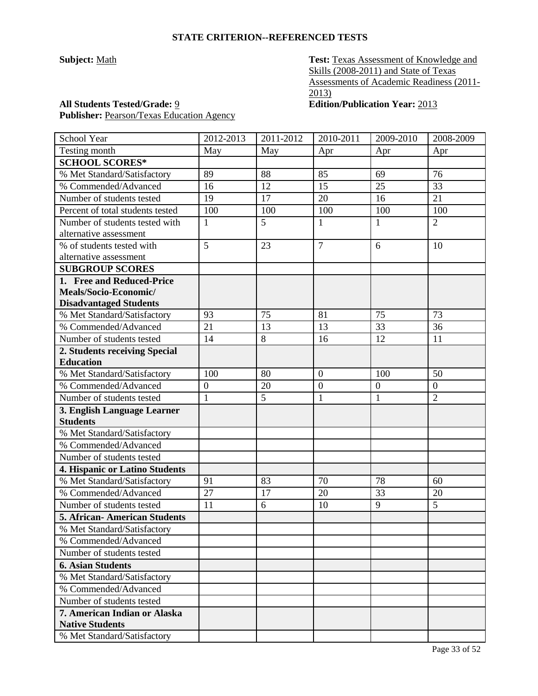**Subject:** <u>Math</u> **Test: Texas Assessment of Knowledge and** Skills (2008-2011) and State of Texas Assessments of Academic Readiness (2011- 2013)

## **All Students Tested/Grade:** 9 **Edition/Publication Year:** 2013

Publisher: Pearson/Texas Education Agency

| School Year                      | $\overline{20}$ 12-2013 | 2011-2012 | 2010-2011      | 2009-2010    | 2008-2009      |
|----------------------------------|-------------------------|-----------|----------------|--------------|----------------|
| Testing month                    | May                     | May       | Apr            | Apr          | Apr            |
| <b>SCHOOL SCORES*</b>            |                         |           |                |              |                |
| % Met Standard/Satisfactory      | 89                      | 88        | 85             | 69           | 76             |
| % Commended/Advanced             | 16                      | 12        | 15             | 25           | 33             |
| Number of students tested        | 19                      | 17        | 20             | 16           | 21             |
| Percent of total students tested | 100                     | 100       | 100            | 100          | 100            |
| Number of students tested with   | $\mathbf{1}$            | 5         | $\mathbf{1}$   | $\mathbf{1}$ | $\overline{2}$ |
| alternative assessment           |                         |           |                |              |                |
| % of students tested with        | 5                       | 23        | $\overline{7}$ | 6            | 10             |
| alternative assessment           |                         |           |                |              |                |
| <b>SUBGROUP SCORES</b>           |                         |           |                |              |                |
| 1. Free and Reduced-Price        |                         |           |                |              |                |
| Meals/Socio-Economic/            |                         |           |                |              |                |
| <b>Disadvantaged Students</b>    |                         |           |                |              |                |
| % Met Standard/Satisfactory      | 93                      | 75        | 81             | 75           | 73             |
| % Commended/Advanced             | 21                      | 13        | 13             | 33           | 36             |
| Number of students tested        | 14                      | 8         | 16             | 12           | 11             |
| 2. Students receiving Special    |                         |           |                |              |                |
| <b>Education</b>                 |                         |           |                |              |                |
| % Met Standard/Satisfactory      | 100                     | 80        | $\overline{0}$ | 100          | 50             |
| % Commended/Advanced             | $\boldsymbol{0}$        | 20        | $\overline{0}$ | $\mathbf{0}$ | $\overline{0}$ |
| Number of students tested        | $\mathbf{1}$            | 5         | $\mathbf{1}$   | $\mathbf{1}$ | $\overline{2}$ |
| 3. English Language Learner      |                         |           |                |              |                |
| <b>Students</b>                  |                         |           |                |              |                |
| % Met Standard/Satisfactory      |                         |           |                |              |                |
| % Commended/Advanced             |                         |           |                |              |                |
| Number of students tested        |                         |           |                |              |                |
| 4. Hispanic or Latino Students   |                         |           |                |              |                |
| % Met Standard/Satisfactory      | 91                      | 83        | 70             | 78           | 60             |
| % Commended/Advanced             | 27                      | 17        | 20             | 33           | 20             |
| Number of students tested        | 11                      | 6         | 10             | 9            | 5              |
| 5. African- American Students    |                         |           |                |              |                |
| % Met Standard/Satisfactory      |                         |           |                |              |                |
| % Commended/Advanced             |                         |           |                |              |                |
| Number of students tested        |                         |           |                |              |                |
| <b>6. Asian Students</b>         |                         |           |                |              |                |
| % Met Standard/Satisfactory      |                         |           |                |              |                |
| % Commended/Advanced             |                         |           |                |              |                |
| Number of students tested        |                         |           |                |              |                |
| 7. American Indian or Alaska     |                         |           |                |              |                |
| <b>Native Students</b>           |                         |           |                |              |                |
| % Met Standard/Satisfactory      |                         |           |                |              |                |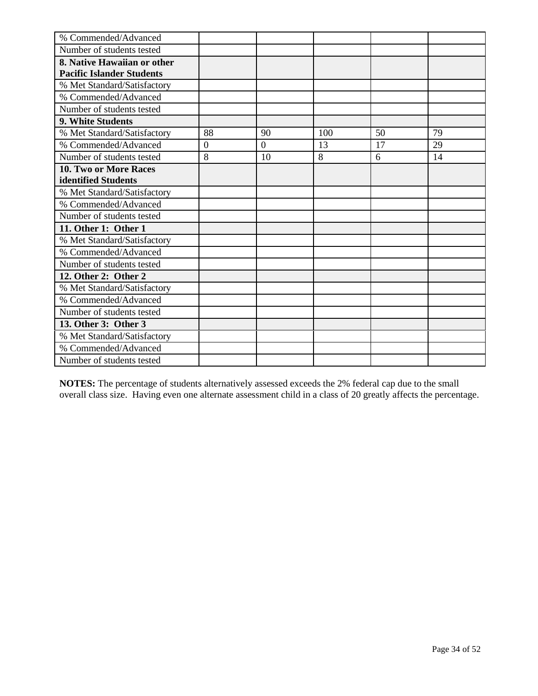| % Commended/Advanced             |                |          |     |    |    |
|----------------------------------|----------------|----------|-----|----|----|
| Number of students tested        |                |          |     |    |    |
| 8. Native Hawaiian or other      |                |          |     |    |    |
| <b>Pacific Islander Students</b> |                |          |     |    |    |
| % Met Standard/Satisfactory      |                |          |     |    |    |
| % Commended/Advanced             |                |          |     |    |    |
| Number of students tested        |                |          |     |    |    |
| 9. White Students                |                |          |     |    |    |
| % Met Standard/Satisfactory      | 88             | 90       | 100 | 50 | 79 |
| % Commended/Advanced             | $\overline{0}$ | $\Omega$ | 13  | 17 | 29 |
| Number of students tested        | 8              | 10       | 8   | 6  | 14 |
| 10. Two or More Races            |                |          |     |    |    |
| identified Students              |                |          |     |    |    |
| % Met Standard/Satisfactory      |                |          |     |    |    |
| % Commended/Advanced             |                |          |     |    |    |
| Number of students tested        |                |          |     |    |    |
| 11. Other 1: Other 1             |                |          |     |    |    |
| % Met Standard/Satisfactory      |                |          |     |    |    |
| % Commended/Advanced             |                |          |     |    |    |
| Number of students tested        |                |          |     |    |    |
| 12. Other 2: Other 2             |                |          |     |    |    |
| % Met Standard/Satisfactory      |                |          |     |    |    |
| % Commended/Advanced             |                |          |     |    |    |
| Number of students tested        |                |          |     |    |    |
| 13. Other 3: Other 3             |                |          |     |    |    |
| % Met Standard/Satisfactory      |                |          |     |    |    |
| % Commended/Advanced             |                |          |     |    |    |
| Number of students tested        |                |          |     |    |    |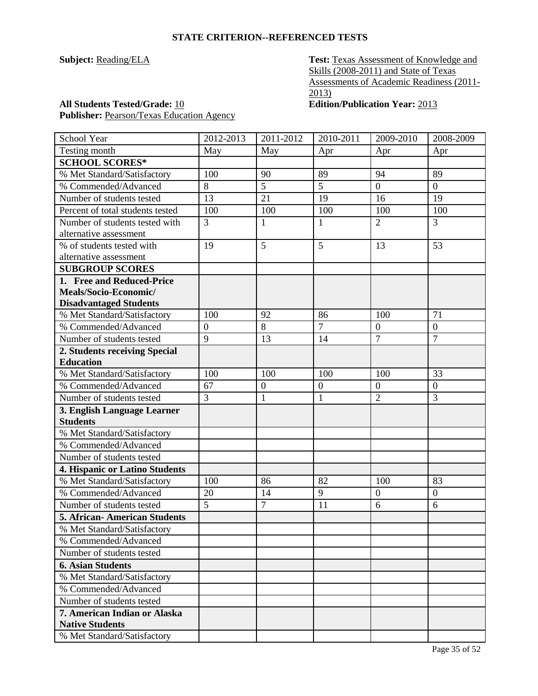**Subject:** Reading/ELA **Test:** Texas Assessment of Knowledge and Skills (2008-2011) and State of Texas Assessments of Academic Readiness (2011- 2013)

## **All Students Tested/Grade:** 10 **Edition/Publication Year:** 2013 Publisher: Pearson/Texas Education Agency

| School Year                         | 2012-2013        | 2011-2012        | 2010-2011      | 2009-2010        | 2008-2009        |
|-------------------------------------|------------------|------------------|----------------|------------------|------------------|
| Testing month                       | May              | May              | Apr            | Apr              | Apr              |
| <b>SCHOOL SCORES*</b>               |                  |                  |                |                  |                  |
| % Met Standard/Satisfactory         | 100              | 90               | 89             | 94               | 89               |
| % Commended/Advanced                | 8                | 5                | 5              | $\boldsymbol{0}$ | $\overline{0}$   |
| Number of students tested           | 13               | 21               | 19             | 16               | 19               |
| Percent of total students tested    | 100              | 100              | 100            | 100              | 100              |
| Number of students tested with      | 3                | 1                | $\mathbf{1}$   | $\overline{2}$   | $\overline{3}$   |
| alternative assessment              |                  |                  |                |                  |                  |
| % of students tested with           | 19               | 5                | 5              | 13               | 53               |
| alternative assessment              |                  |                  |                |                  |                  |
| <b>SUBGROUP SCORES</b>              |                  |                  |                |                  |                  |
| 1. Free and Reduced-Price           |                  |                  |                |                  |                  |
| Meals/Socio-Economic/               |                  |                  |                |                  |                  |
| <b>Disadvantaged Students</b>       |                  |                  |                |                  |                  |
| % Met Standard/Satisfactory         | 100              | 92               | 86             | 100              | 71               |
| % Commended/Advanced                | $\boldsymbol{0}$ | 8                | $\overline{7}$ | $\boldsymbol{0}$ | $\overline{0}$   |
| Number of students tested           | 9                | 13               | 14             | $\overline{7}$   | $\overline{7}$   |
| 2. Students receiving Special       |                  |                  |                |                  |                  |
| <b>Education</b>                    |                  |                  |                |                  |                  |
| % Met Standard/Satisfactory         | 100              | 100              | 100            | 100              | 33               |
| % Commended/Advanced                | 67               | $\boldsymbol{0}$ | $\overline{0}$ | $\boldsymbol{0}$ | $\boldsymbol{0}$ |
| Number of students tested           | 3                | $\mathbf{1}$     | $\mathbf{1}$   | $\overline{2}$   | $\overline{3}$   |
| 3. English Language Learner         |                  |                  |                |                  |                  |
| <b>Students</b>                     |                  |                  |                |                  |                  |
| % Met Standard/Satisfactory         |                  |                  |                |                  |                  |
| % Commended/Advanced                |                  |                  |                |                  |                  |
| Number of students tested           |                  |                  |                |                  |                  |
| 4. Hispanic or Latino Students      |                  |                  |                |                  |                  |
| % Met Standard/Satisfactory         | 100              | 86               | 82             | 100              | 83               |
| % Commended/Advanced                | 20               | 14               | 9              | $\boldsymbol{0}$ | $\boldsymbol{0}$ |
| Number of students tested           | 5                | $\overline{7}$   | 11             | 6                | 6                |
| <b>5. African-American Students</b> |                  |                  |                |                  |                  |
| % Met Standard/Satisfactory         |                  |                  |                |                  |                  |
| % Commended/Advanced                |                  |                  |                |                  |                  |
| Number of students tested           |                  |                  |                |                  |                  |
| <b>6. Asian Students</b>            |                  |                  |                |                  |                  |
| % Met Standard/Satisfactory         |                  |                  |                |                  |                  |
| % Commended/Advanced                |                  |                  |                |                  |                  |
| Number of students tested           |                  |                  |                |                  |                  |
| 7. American Indian or Alaska        |                  |                  |                |                  |                  |
| <b>Native Students</b>              |                  |                  |                |                  |                  |
| % Met Standard/Satisfactory         |                  |                  |                |                  |                  |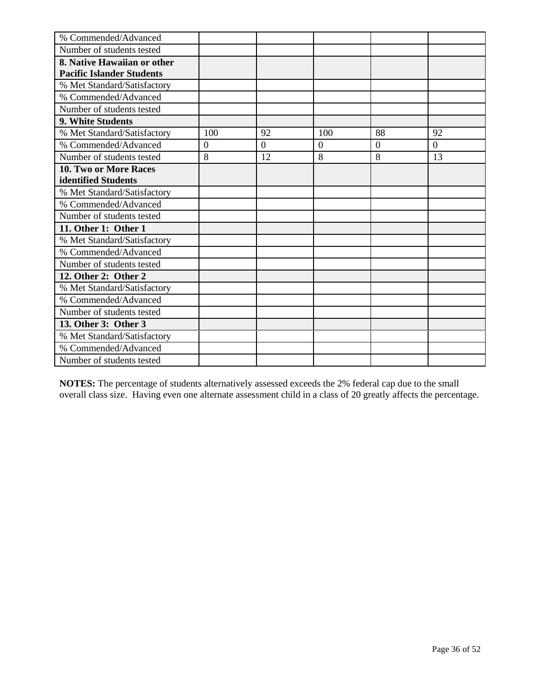| % Commended/Advanced             |                |                |          |                |                |
|----------------------------------|----------------|----------------|----------|----------------|----------------|
| Number of students tested        |                |                |          |                |                |
| 8. Native Hawaiian or other      |                |                |          |                |                |
| <b>Pacific Islander Students</b> |                |                |          |                |                |
| % Met Standard/Satisfactory      |                |                |          |                |                |
| % Commended/Advanced             |                |                |          |                |                |
| Number of students tested        |                |                |          |                |                |
| 9. White Students                |                |                |          |                |                |
| % Met Standard/Satisfactory      | 100            | 92             | 100      | 88             | 92             |
| % Commended/Advanced             | $\overline{0}$ | $\overline{0}$ | $\theta$ | $\overline{0}$ | $\overline{0}$ |
| Number of students tested        | 8              | 12             | 8        | 8              | 13             |
| 10. Two or More Races            |                |                |          |                |                |
| identified Students              |                |                |          |                |                |
| % Met Standard/Satisfactory      |                |                |          |                |                |
| % Commended/Advanced             |                |                |          |                |                |
| Number of students tested        |                |                |          |                |                |
| 11. Other 1: Other 1             |                |                |          |                |                |
| % Met Standard/Satisfactory      |                |                |          |                |                |
| % Commended/Advanced             |                |                |          |                |                |
| Number of students tested        |                |                |          |                |                |
| 12. Other 2: Other 2             |                |                |          |                |                |
| % Met Standard/Satisfactory      |                |                |          |                |                |
| % Commended/Advanced             |                |                |          |                |                |
| Number of students tested        |                |                |          |                |                |
| 13. Other 3: Other 3             |                |                |          |                |                |
| % Met Standard/Satisfactory      |                |                |          |                |                |
| % Commended/Advanced             |                |                |          |                |                |
| Number of students tested        |                |                |          |                |                |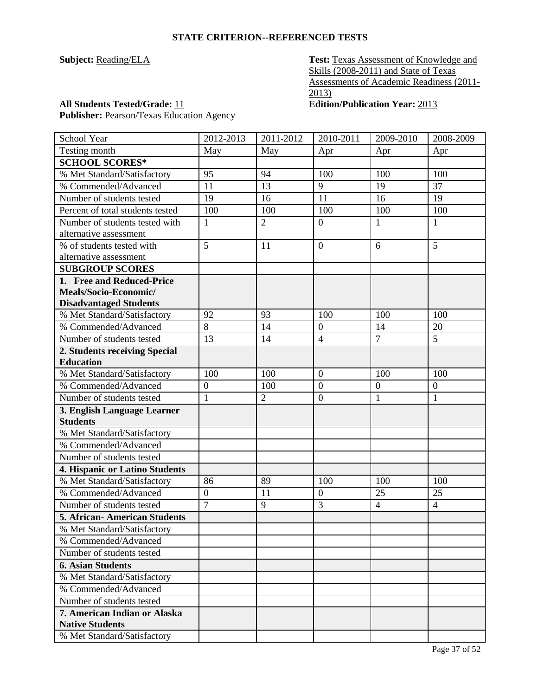**Subject:** Reading/ELA **Test:** Texas Assessment of Knowledge and Skills (2008-2011) and State of Texas Assessments of Academic Readiness (2011- 2013)

**All Students Tested/Grade:** 11 **Edition/Publication Year:** 2013 Publisher: Pearson/Texas Education Agency

| School Year                           | 2012-2013        | 2011-2012      | 2010-2011        | 2009-2010        | 2008-2009        |
|---------------------------------------|------------------|----------------|------------------|------------------|------------------|
| Testing month                         | May              | May            | Apr              | Apr              | Apr              |
| <b>SCHOOL SCORES*</b>                 |                  |                |                  |                  |                  |
| % Met Standard/Satisfactory           | 95               | 94             | 100              | 100              | 100              |
| % Commended/Advanced                  | 11               | 13             | 9                | 19               | 37               |
| Number of students tested             | 19               | 16             | 11               | 16               | 19               |
| Percent of total students tested      | 100              | 100            | 100              | 100              | 100              |
| Number of students tested with        | 1                | $\overline{2}$ | $\boldsymbol{0}$ | $\mathbf{1}$     | $\mathbf{1}$     |
| alternative assessment                |                  |                |                  |                  |                  |
| % of students tested with             | 5                | 11             | $\overline{0}$   | 6                | 5                |
| alternative assessment                |                  |                |                  |                  |                  |
| <b>SUBGROUP SCORES</b>                |                  |                |                  |                  |                  |
| 1. Free and Reduced-Price             |                  |                |                  |                  |                  |
| Meals/Socio-Economic/                 |                  |                |                  |                  |                  |
| <b>Disadvantaged Students</b>         |                  |                |                  |                  |                  |
| % Met Standard/Satisfactory           | 92               | 93             | 100              | 100              | 100              |
| % Commended/Advanced                  | 8                | 14             | $\boldsymbol{0}$ | 14               | 20               |
| Number of students tested             | 13               | 14             | $\overline{4}$   | $\overline{7}$   | 5                |
| 2. Students receiving Special         |                  |                |                  |                  |                  |
| <b>Education</b>                      |                  |                |                  |                  |                  |
| % Met Standard/Satisfactory           | 100              | 100            | $\boldsymbol{0}$ | 100              | 100              |
| % Commended/Advanced                  | $\overline{0}$   | 100            | $\boldsymbol{0}$ | $\boldsymbol{0}$ | $\boldsymbol{0}$ |
| Number of students tested             | $\mathbf{1}$     | $\overline{2}$ | $\boldsymbol{0}$ | $\mathbf{1}$     | $\mathbf{1}$     |
| 3. English Language Learner           |                  |                |                  |                  |                  |
| <b>Students</b>                       |                  |                |                  |                  |                  |
| % Met Standard/Satisfactory           |                  |                |                  |                  |                  |
| % Commended/Advanced                  |                  |                |                  |                  |                  |
| Number of students tested             |                  |                |                  |                  |                  |
| <b>4. Hispanic or Latino Students</b> |                  |                |                  |                  |                  |
| % Met Standard/Satisfactory           | 86               | 89             | 100              | 100              | 100              |
| % Commended/Advanced                  | $\boldsymbol{0}$ | 11             | $\boldsymbol{0}$ | 25               | 25               |
| Number of students tested             | $\overline{7}$   | 9              | 3                | $\overline{4}$   | $\overline{4}$   |
| <b>5. African- American Students</b>  |                  |                |                  |                  |                  |
| % Met Standard/Satisfactory           |                  |                |                  |                  |                  |
| % Commended/Advanced                  |                  |                |                  |                  |                  |
| Number of students tested             |                  |                |                  |                  |                  |
| <b>6. Asian Students</b>              |                  |                |                  |                  |                  |
| % Met Standard/Satisfactory           |                  |                |                  |                  |                  |
| % Commended/Advanced                  |                  |                |                  |                  |                  |
| Number of students tested             |                  |                |                  |                  |                  |
| 7. American Indian or Alaska          |                  |                |                  |                  |                  |
| <b>Native Students</b>                |                  |                |                  |                  |                  |
| % Met Standard/Satisfactory           |                  |                |                  |                  |                  |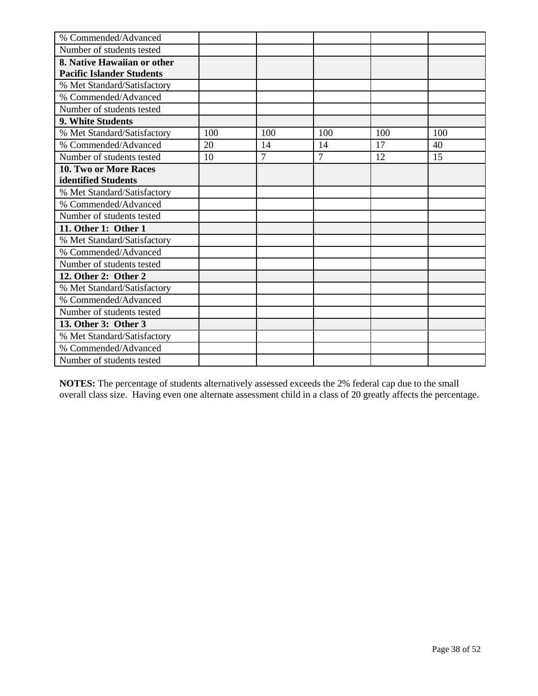| % Commended/Advanced             |     |        |                |     |     |
|----------------------------------|-----|--------|----------------|-----|-----|
| Number of students tested        |     |        |                |     |     |
| 8. Native Hawaiian or other      |     |        |                |     |     |
| <b>Pacific Islander Students</b> |     |        |                |     |     |
| % Met Standard/Satisfactory      |     |        |                |     |     |
| % Commended/Advanced             |     |        |                |     |     |
| Number of students tested        |     |        |                |     |     |
| 9. White Students                |     |        |                |     |     |
| % Met Standard/Satisfactory      | 100 | 100    | 100            | 100 | 100 |
| % Commended/Advanced             | 20  | 14     | 14             | 17  | 40  |
| Number of students tested        | 10  | $\tau$ | $\overline{7}$ | 12  | 15  |
| 10. Two or More Races            |     |        |                |     |     |
| identified Students              |     |        |                |     |     |
| % Met Standard/Satisfactory      |     |        |                |     |     |
| % Commended/Advanced             |     |        |                |     |     |
| Number of students tested        |     |        |                |     |     |
| 11. Other 1: Other 1             |     |        |                |     |     |
| % Met Standard/Satisfactory      |     |        |                |     |     |
| % Commended/Advanced             |     |        |                |     |     |
| Number of students tested        |     |        |                |     |     |
| 12. Other 2: Other 2             |     |        |                |     |     |
| % Met Standard/Satisfactory      |     |        |                |     |     |
| % Commended/Advanced             |     |        |                |     |     |
| Number of students tested        |     |        |                |     |     |
| 13. Other 3: Other 3             |     |        |                |     |     |
| % Met Standard/Satisfactory      |     |        |                |     |     |
| % Commended/Advanced             |     |        |                |     |     |
| Number of students tested        |     |        |                |     |     |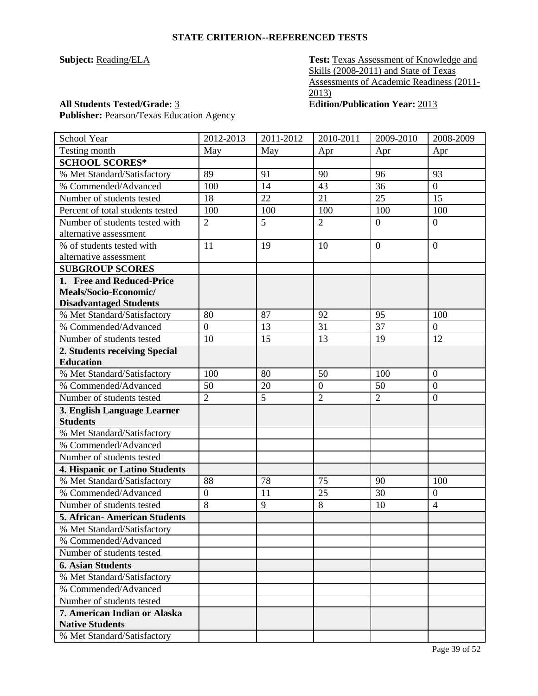**Subject:** Reading/ELA **Test:** Texas Assessment of Knowledge and Skills (2008-2011) and State of Texas Assessments of Academic Readiness (2011- 2013)

## **All Students Tested/Grade:** 3 **Edition/Publication Year:** 2013

Publisher: Pearson/Texas Education Agency

| School Year                           | 2012-2013        | 2011-2012 | 2010-2011        | 2009-2010      | 2008-2009      |
|---------------------------------------|------------------|-----------|------------------|----------------|----------------|
| Testing month                         | May              | May       | Apr              | Apr            | Apr            |
| <b>SCHOOL SCORES*</b>                 |                  |           |                  |                |                |
| % Met Standard/Satisfactory           | 89               | 91        | 90               | 96             | 93             |
| % Commended/Advanced                  | 100              | 14        | 43               | 36             | $\mathbf{0}$   |
| Number of students tested             | 18               | 22        | 21               | 25             | 15             |
| Percent of total students tested      | 100              | 100       | 100              | 100            | 100            |
| Number of students tested with        | $\overline{2}$   | 5         | $\overline{2}$   | $\overline{0}$ | $\overline{0}$ |
| alternative assessment                |                  |           |                  |                |                |
| % of students tested with             | 11               | 19        | 10               | $\overline{0}$ | $\overline{0}$ |
| alternative assessment                |                  |           |                  |                |                |
| <b>SUBGROUP SCORES</b>                |                  |           |                  |                |                |
| 1. Free and Reduced-Price             |                  |           |                  |                |                |
| Meals/Socio-Economic/                 |                  |           |                  |                |                |
| <b>Disadvantaged Students</b>         |                  |           |                  |                |                |
| % Met Standard/Satisfactory           | 80               | 87        | 92               | 95             | 100            |
| % Commended/Advanced                  | $\overline{0}$   | 13        | 31               | 37             | $\overline{0}$ |
| Number of students tested             | 10               | 15        | 13               | 19             | 12             |
| 2. Students receiving Special         |                  |           |                  |                |                |
| <b>Education</b>                      |                  |           |                  |                |                |
| % Met Standard/Satisfactory           | 100              | 80        | 50               | 100            | $\overline{0}$ |
| % Commended/Advanced                  | 50               | 20        | $\boldsymbol{0}$ | 50             | $\overline{0}$ |
| Number of students tested             | $\overline{2}$   | 5         | $\overline{2}$   | $\overline{2}$ | $\overline{0}$ |
| 3. English Language Learner           |                  |           |                  |                |                |
| <b>Students</b>                       |                  |           |                  |                |                |
| % Met Standard/Satisfactory           |                  |           |                  |                |                |
| % Commended/Advanced                  |                  |           |                  |                |                |
| Number of students tested             |                  |           |                  |                |                |
| <b>4. Hispanic or Latino Students</b> |                  |           |                  |                |                |
| % Met Standard/Satisfactory           | 88               | 78        | 75               | 90             | 100            |
| % Commended/Advanced                  | $\boldsymbol{0}$ | 11        | 25               | 30             | $\mathbf{0}$   |
| Number of students tested             | 8                | 9         | 8                | 10             | $\overline{4}$ |
| 5. African-American Students          |                  |           |                  |                |                |
| % Met Standard/Satisfactory           |                  |           |                  |                |                |
| % Commended/Advanced                  |                  |           |                  |                |                |
| Number of students tested             |                  |           |                  |                |                |
| <b>6. Asian Students</b>              |                  |           |                  |                |                |
| % Met Standard/Satisfactory           |                  |           |                  |                |                |
| % Commended/Advanced                  |                  |           |                  |                |                |
| Number of students tested             |                  |           |                  |                |                |
| 7. American Indian or Alaska          |                  |           |                  |                |                |
| <b>Native Students</b>                |                  |           |                  |                |                |
| % Met Standard/Satisfactory           |                  |           |                  |                |                |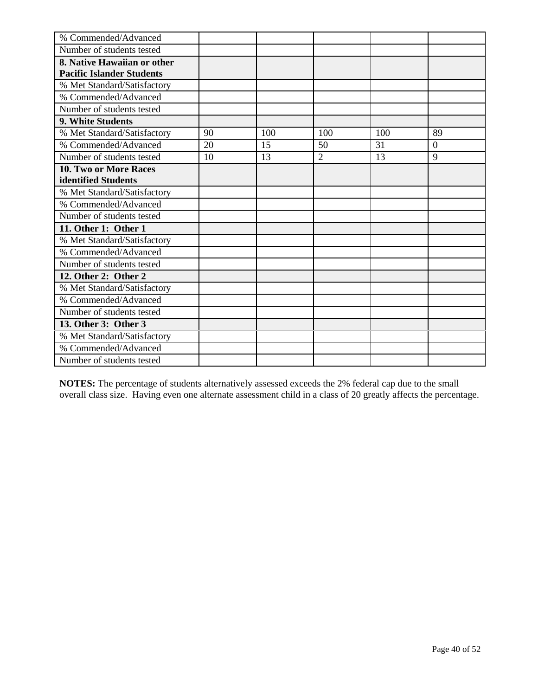| % Commended/Advanced             |    |     |                |     |                |
|----------------------------------|----|-----|----------------|-----|----------------|
| Number of students tested        |    |     |                |     |                |
| 8. Native Hawaiian or other      |    |     |                |     |                |
| <b>Pacific Islander Students</b> |    |     |                |     |                |
| % Met Standard/Satisfactory      |    |     |                |     |                |
| % Commended/Advanced             |    |     |                |     |                |
| Number of students tested        |    |     |                |     |                |
| 9. White Students                |    |     |                |     |                |
| % Met Standard/Satisfactory      | 90 | 100 | 100            | 100 | 89             |
| % Commended/Advanced             | 20 | 15  | 50             | 31  | $\overline{0}$ |
| Number of students tested        | 10 | 13  | $\overline{2}$ | 13  | 9              |
| 10. Two or More Races            |    |     |                |     |                |
| identified Students              |    |     |                |     |                |
| % Met Standard/Satisfactory      |    |     |                |     |                |
| % Commended/Advanced             |    |     |                |     |                |
| Number of students tested        |    |     |                |     |                |
| 11. Other 1: Other 1             |    |     |                |     |                |
| % Met Standard/Satisfactory      |    |     |                |     |                |
| % Commended/Advanced             |    |     |                |     |                |
| Number of students tested        |    |     |                |     |                |
| 12. Other 2: Other 2             |    |     |                |     |                |
| % Met Standard/Satisfactory      |    |     |                |     |                |
| % Commended/Advanced             |    |     |                |     |                |
| Number of students tested        |    |     |                |     |                |
| 13. Other 3: Other 3             |    |     |                |     |                |
| % Met Standard/Satisfactory      |    |     |                |     |                |
| % Commended/Advanced             |    |     |                |     |                |
| Number of students tested        |    |     |                |     |                |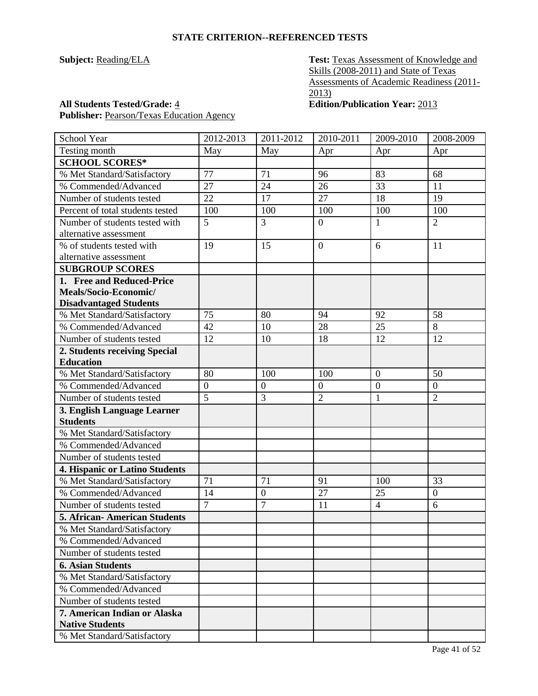**Subject:** Reading/ELA **Test:** Texas Assessment of Knowledge and Skills (2008-2011) and State of Texas Assessments of Academic Readiness (2011- 2013)

Publisher: Pearson/Texas Education Agency

**All Students Tested/Grade:** 4 **Edition/Publication Year:** 2013

| School Year                         | 2012-2013        | 2011-2012        | 2010-2011        | 2009-2010        | 2008-2009      |
|-------------------------------------|------------------|------------------|------------------|------------------|----------------|
| Testing month                       | May              | May              | Apr              | Apr              | Apr            |
| <b>SCHOOL SCORES*</b>               |                  |                  |                  |                  |                |
| % Met Standard/Satisfactory         | 77               | 71               | 96               | 83               | 68             |
| % Commended/Advanced                | 27               | 24               | 26               | 33               | 11             |
| Number of students tested           | 22               | 17               | 27               | 18               | 19             |
| Percent of total students tested    | 100              | 100              | 100              | 100              | 100            |
| Number of students tested with      | 5                | 3                | $\overline{0}$   | 1                | $\overline{2}$ |
| alternative assessment              |                  |                  |                  |                  |                |
| % of students tested with           | 19               | 15               | $\overline{0}$   | 6                | 11             |
| alternative assessment              |                  |                  |                  |                  |                |
| <b>SUBGROUP SCORES</b>              |                  |                  |                  |                  |                |
| 1. Free and Reduced-Price           |                  |                  |                  |                  |                |
| Meals/Socio-Economic/               |                  |                  |                  |                  |                |
| <b>Disadvantaged Students</b>       |                  |                  |                  |                  |                |
| % Met Standard/Satisfactory         | 75               | 80               | 94               | 92               | 58             |
| % Commended/Advanced                | 42               | 10               | 28               | 25               | 8              |
| Number of students tested           | 12               | 10               | 18               | 12               | 12             |
| 2. Students receiving Special       |                  |                  |                  |                  |                |
| <b>Education</b>                    |                  |                  |                  |                  |                |
| % Met Standard/Satisfactory         | 80               | 100              | 100              | $\overline{0}$   | 50             |
| % Commended/Advanced                | $\boldsymbol{0}$ | $\overline{0}$   | $\boldsymbol{0}$ | $\boldsymbol{0}$ | $\mathbf{0}$   |
| Number of students tested           | 5                | 3                | $\overline{2}$   | $\mathbf{1}$     | $\overline{2}$ |
| 3. English Language Learner         |                  |                  |                  |                  |                |
| <b>Students</b>                     |                  |                  |                  |                  |                |
| % Met Standard/Satisfactory         |                  |                  |                  |                  |                |
| % Commended/Advanced                |                  |                  |                  |                  |                |
| Number of students tested           |                  |                  |                  |                  |                |
| 4. Hispanic or Latino Students      |                  |                  |                  |                  |                |
| % Met Standard/Satisfactory         | 71               | 71               | 91               | 100              | 33             |
| % Commended/Advanced                | 14               | $\boldsymbol{0}$ | 27               | 25               | $\mathbf{0}$   |
| Number of students tested           | 7                | 7                | 11               | $\overline{4}$   | 6              |
| <b>5. African-American Students</b> |                  |                  |                  |                  |                |
| % Met Standard/Satisfactory         |                  |                  |                  |                  |                |
| % Commended/Advanced                |                  |                  |                  |                  |                |
| Number of students tested           |                  |                  |                  |                  |                |
| <b>6. Asian Students</b>            |                  |                  |                  |                  |                |
| % Met Standard/Satisfactory         |                  |                  |                  |                  |                |
| % Commended/Advanced                |                  |                  |                  |                  |                |
| Number of students tested           |                  |                  |                  |                  |                |
| 7. American Indian or Alaska        |                  |                  |                  |                  |                |
| <b>Native Students</b>              |                  |                  |                  |                  |                |
| % Met Standard/Satisfactory         |                  |                  |                  |                  |                |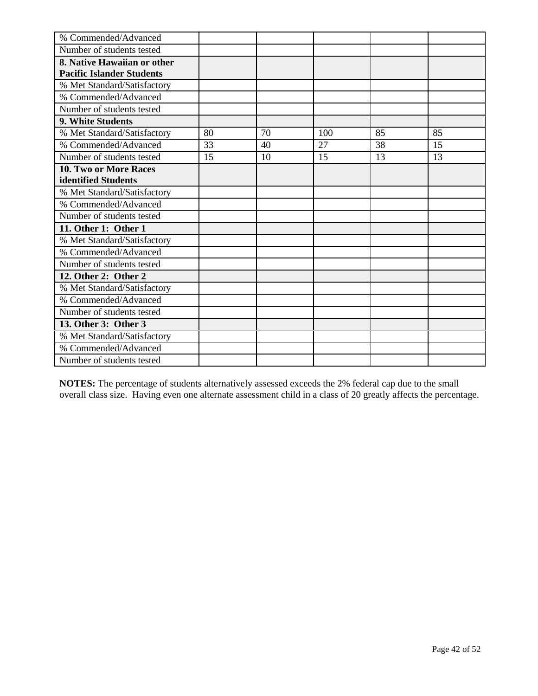| % Commended/Advanced             |    |    |     |    |    |
|----------------------------------|----|----|-----|----|----|
| Number of students tested        |    |    |     |    |    |
| 8. Native Hawaiian or other      |    |    |     |    |    |
| <b>Pacific Islander Students</b> |    |    |     |    |    |
| % Met Standard/Satisfactory      |    |    |     |    |    |
| % Commended/Advanced             |    |    |     |    |    |
| Number of students tested        |    |    |     |    |    |
| 9. White Students                |    |    |     |    |    |
| % Met Standard/Satisfactory      | 80 | 70 | 100 | 85 | 85 |
| % Commended/Advanced             | 33 | 40 | 27  | 38 | 15 |
| Number of students tested        | 15 | 10 | 15  | 13 | 13 |
| 10. Two or More Races            |    |    |     |    |    |
| identified Students              |    |    |     |    |    |
| % Met Standard/Satisfactory      |    |    |     |    |    |
| % Commended/Advanced             |    |    |     |    |    |
| Number of students tested        |    |    |     |    |    |
| 11. Other 1: Other 1             |    |    |     |    |    |
| % Met Standard/Satisfactory      |    |    |     |    |    |
| % Commended/Advanced             |    |    |     |    |    |
| Number of students tested        |    |    |     |    |    |
| 12. Other 2: Other 2             |    |    |     |    |    |
| % Met Standard/Satisfactory      |    |    |     |    |    |
| % Commended/Advanced             |    |    |     |    |    |
| Number of students tested        |    |    |     |    |    |
| 13. Other 3: Other 3             |    |    |     |    |    |
| % Met Standard/Satisfactory      |    |    |     |    |    |
| % Commended/Advanced             |    |    |     |    |    |
| Number of students tested        |    |    |     |    |    |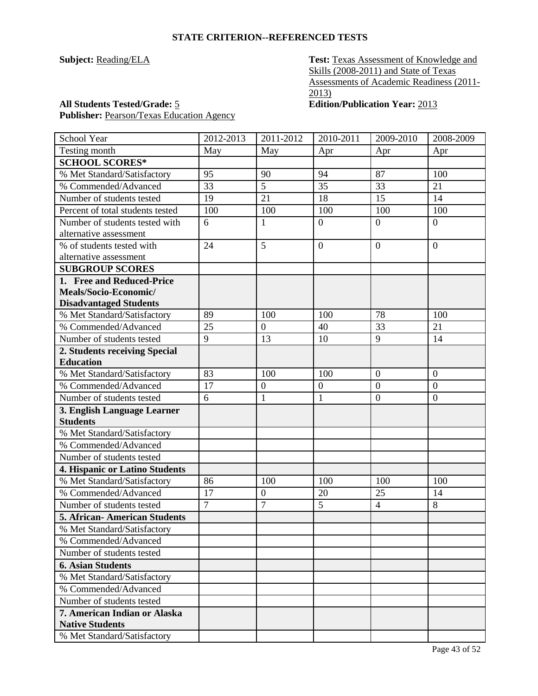**Subject:** Reading/ELA **Test:** Texas Assessment of Knowledge and Skills (2008-2011) and State of Texas Assessments of Academic Readiness (2011- 2013)

Publisher: Pearson/Texas Education Agency

**All Students Tested/Grade:** 5 **Edition/Publication Year:** 2013

| School Year                                            | 2012-2013      | 2011-2012        | 2010-2011        | 2009-2010        | 2008-2009        |
|--------------------------------------------------------|----------------|------------------|------------------|------------------|------------------|
| Testing month                                          | May            | May              | Apr              | Apr              | Apr              |
| <b>SCHOOL SCORES*</b>                                  |                |                  |                  |                  |                  |
| % Met Standard/Satisfactory                            | 95             | 90               | 94               | 87               | 100              |
| % Commended/Advanced                                   | 33             | 5                | 35               | 33               | 21               |
| Number of students tested                              | 19             | $\overline{21}$  | 18               | 15               | 14               |
| Percent of total students tested                       | 100            | 100              | 100              | 100              | 100              |
| Number of students tested with                         | 6              | $\mathbf{1}$     | $\overline{0}$   | $\overline{0}$   | $\overline{0}$   |
| alternative assessment                                 |                |                  |                  |                  |                  |
| % of students tested with                              | 24             | 5                | $\overline{0}$   | $\overline{0}$   | $\overline{0}$   |
| alternative assessment                                 |                |                  |                  |                  |                  |
| <b>SUBGROUP SCORES</b>                                 |                |                  |                  |                  |                  |
| 1. Free and Reduced-Price                              |                |                  |                  |                  |                  |
| Meals/Socio-Economic/                                  |                |                  |                  |                  |                  |
| <b>Disadvantaged Students</b>                          |                |                  |                  |                  |                  |
| % Met Standard/Satisfactory                            | 89             | 100              | 100              | 78               | 100              |
| % Commended/Advanced                                   | 25             | $\boldsymbol{0}$ | 40               | 33               | 21               |
| Number of students tested                              | 9              | 13               | 10               | 9                | 14               |
| 2. Students receiving Special                          |                |                  |                  |                  |                  |
| <b>Education</b>                                       |                |                  |                  |                  |                  |
| % Met Standard/Satisfactory                            | 83             | 100              | 100              | $\mathbf{0}$     | $\overline{0}$   |
| % Commended/Advanced                                   | 17             | $\overline{0}$   | $\boldsymbol{0}$ | $\boldsymbol{0}$ | $\boldsymbol{0}$ |
| Number of students tested                              | 6              | $\mathbf{1}$     | $\mathbf{1}$     | $\overline{0}$   | $\boldsymbol{0}$ |
| 3. English Language Learner                            |                |                  |                  |                  |                  |
| <b>Students</b>                                        |                |                  |                  |                  |                  |
| % Met Standard/Satisfactory                            |                |                  |                  |                  |                  |
| % Commended/Advanced                                   |                |                  |                  |                  |                  |
| Number of students tested                              |                |                  |                  |                  |                  |
| 4. Hispanic or Latino Students                         |                |                  |                  |                  |                  |
| % Met Standard/Satisfactory                            | 86             | 100              | 100              | 100              | 100              |
| % Commended/Advanced                                   | 17             | $\overline{0}$   | 20               | 25               | 14               |
| Number of students tested                              | $\overline{7}$ | 7                | 5                | $\overline{4}$   | 8                |
| <b>5. African-American Students</b>                    |                |                  |                  |                  |                  |
| % Met Standard/Satisfactory                            |                |                  |                  |                  |                  |
| % Commended/Advanced                                   |                |                  |                  |                  |                  |
| Number of students tested                              |                |                  |                  |                  |                  |
| <b>6. Asian Students</b>                               |                |                  |                  |                  |                  |
| % Met Standard/Satisfactory                            |                |                  |                  |                  |                  |
| % Commended/Advanced                                   |                |                  |                  |                  |                  |
| Number of students tested                              |                |                  |                  |                  |                  |
| 7. American Indian or Alaska<br><b>Native Students</b> |                |                  |                  |                  |                  |
| % Met Standard/Satisfactory                            |                |                  |                  |                  |                  |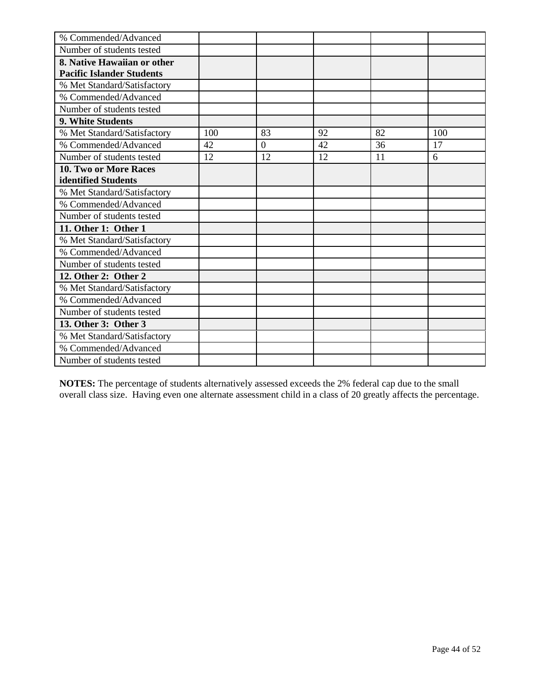| % Commended/Advanced             |     |                |    |    |     |
|----------------------------------|-----|----------------|----|----|-----|
| Number of students tested        |     |                |    |    |     |
| 8. Native Hawaiian or other      |     |                |    |    |     |
| <b>Pacific Islander Students</b> |     |                |    |    |     |
| % Met Standard/Satisfactory      |     |                |    |    |     |
| % Commended/Advanced             |     |                |    |    |     |
| Number of students tested        |     |                |    |    |     |
| 9. White Students                |     |                |    |    |     |
| % Met Standard/Satisfactory      | 100 | 83             | 92 | 82 | 100 |
| % Commended/Advanced             | 42  | $\overline{0}$ | 42 | 36 | 17  |
| Number of students tested        | 12  | 12             | 12 | 11 | 6   |
| 10. Two or More Races            |     |                |    |    |     |
| identified Students              |     |                |    |    |     |
| % Met Standard/Satisfactory      |     |                |    |    |     |
| % Commended/Advanced             |     |                |    |    |     |
| Number of students tested        |     |                |    |    |     |
| 11. Other 1: Other 1             |     |                |    |    |     |
| % Met Standard/Satisfactory      |     |                |    |    |     |
| % Commended/Advanced             |     |                |    |    |     |
| Number of students tested        |     |                |    |    |     |
| 12. Other 2: Other 2             |     |                |    |    |     |
| % Met Standard/Satisfactory      |     |                |    |    |     |
| % Commended/Advanced             |     |                |    |    |     |
| Number of students tested        |     |                |    |    |     |
| 13. Other 3: Other 3             |     |                |    |    |     |
| % Met Standard/Satisfactory      |     |                |    |    |     |
| % Commended/Advanced             |     |                |    |    |     |
| Number of students tested        |     |                |    |    |     |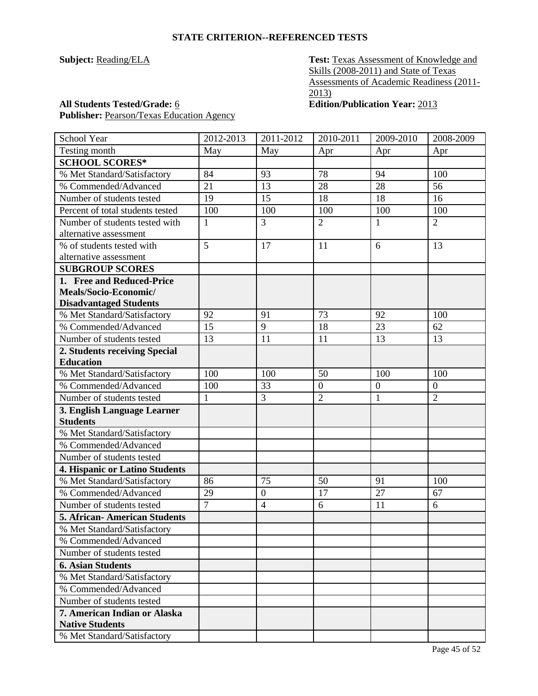**Subject:** Reading/ELA **Test:** Texas Assessment of Knowledge and Skills (2008-2011) and State of Texas Assessments of Academic Readiness (2011- 2013)

Publisher: Pearson/Texas Education Agency

**All Students Tested/Grade:** 6 **Edition/Publication Year:** 2013

| School Year                         | 2012-2013      | 2011-2012        | 2010-2011        | 2009-2010        | 2008-2009        |
|-------------------------------------|----------------|------------------|------------------|------------------|------------------|
| Testing month                       | May            | May              | Apr              | Apr              | Apr              |
| <b>SCHOOL SCORES*</b>               |                |                  |                  |                  |                  |
| % Met Standard/Satisfactory         | 84             | 93               | 78               | 94               | 100              |
| % Commended/Advanced                | 21             | 13               | 28               | 28               | 56               |
| Number of students tested           | 19             | 15               | 18               | 18               | 16               |
| Percent of total students tested    | 100            | 100              | 100              | 100              | 100              |
| Number of students tested with      | 1              | 3                | $\overline{2}$   | 1                | $\overline{2}$   |
| alternative assessment              |                |                  |                  |                  |                  |
| % of students tested with           | 5              | 17               | 11               | 6                | 13               |
| alternative assessment              |                |                  |                  |                  |                  |
| <b>SUBGROUP SCORES</b>              |                |                  |                  |                  |                  |
| 1. Free and Reduced-Price           |                |                  |                  |                  |                  |
| Meals/Socio-Economic/               |                |                  |                  |                  |                  |
| <b>Disadvantaged Students</b>       |                |                  |                  |                  |                  |
| % Met Standard/Satisfactory         | 92             | 91               | 73               | 92               | 100              |
| % Commended/Advanced                | 15             | 9                | 18               | 23               | 62               |
| Number of students tested           | 13             | 11               | 11               | 13               | 13               |
| 2. Students receiving Special       |                |                  |                  |                  |                  |
| <b>Education</b>                    |                |                  |                  |                  |                  |
| % Met Standard/Satisfactory         | 100            | 100              | 50               | 100              | 100              |
| % Commended/Advanced                | 100            | 33               | $\boldsymbol{0}$ | $\boldsymbol{0}$ | $\boldsymbol{0}$ |
| Number of students tested           | $\mathbf{1}$   | 3                | $\overline{2}$   | $\mathbf{1}$     | $\overline{2}$   |
| 3. English Language Learner         |                |                  |                  |                  |                  |
| <b>Students</b>                     |                |                  |                  |                  |                  |
| % Met Standard/Satisfactory         |                |                  |                  |                  |                  |
| % Commended/Advanced                |                |                  |                  |                  |                  |
| Number of students tested           |                |                  |                  |                  |                  |
| 4. Hispanic or Latino Students      |                |                  |                  |                  |                  |
| % Met Standard/Satisfactory         | 86             | 75               | 50               | 91               | 100              |
| % Commended/Advanced                | 29             | $\boldsymbol{0}$ | 17               | 27               | 67               |
| Number of students tested           | $\overline{7}$ | $\overline{4}$   | 6                | 11               | 6                |
| <b>5. African-American Students</b> |                |                  |                  |                  |                  |
| % Met Standard/Satisfactory         |                |                  |                  |                  |                  |
| % Commended/Advanced                |                |                  |                  |                  |                  |
| Number of students tested           |                |                  |                  |                  |                  |
| <b>6. Asian Students</b>            |                |                  |                  |                  |                  |
| % Met Standard/Satisfactory         |                |                  |                  |                  |                  |
| % Commended/Advanced                |                |                  |                  |                  |                  |
| Number of students tested           |                |                  |                  |                  |                  |
| 7. American Indian or Alaska        |                |                  |                  |                  |                  |
| <b>Native Students</b>              |                |                  |                  |                  |                  |
| % Met Standard/Satisfactory         |                |                  |                  |                  |                  |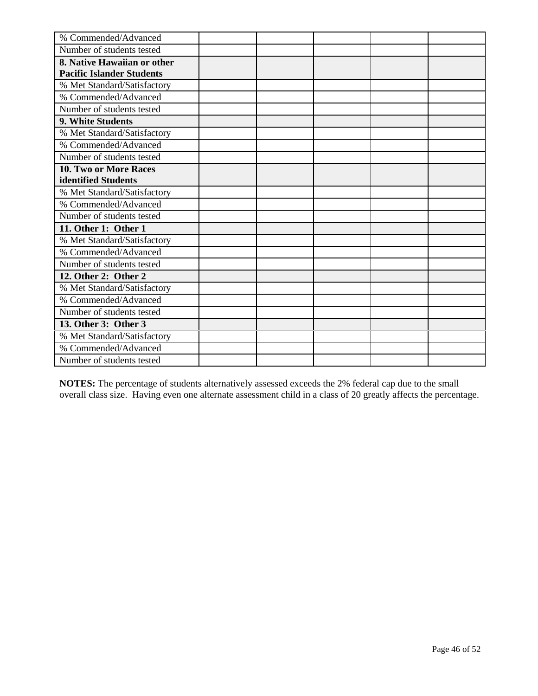| % Commended/Advanced             |  |  |  |
|----------------------------------|--|--|--|
| Number of students tested        |  |  |  |
| 8. Native Hawaiian or other      |  |  |  |
| <b>Pacific Islander Students</b> |  |  |  |
| % Met Standard/Satisfactory      |  |  |  |
| % Commended/Advanced             |  |  |  |
| Number of students tested        |  |  |  |
| 9. White Students                |  |  |  |
| % Met Standard/Satisfactory      |  |  |  |
| % Commended/Advanced             |  |  |  |
| Number of students tested        |  |  |  |
| 10. Two or More Races            |  |  |  |
| identified Students              |  |  |  |
| % Met Standard/Satisfactory      |  |  |  |
| % Commended/Advanced             |  |  |  |
| Number of students tested        |  |  |  |
| 11. Other 1: Other 1             |  |  |  |
| % Met Standard/Satisfactory      |  |  |  |
| % Commended/Advanced             |  |  |  |
| Number of students tested        |  |  |  |
| 12. Other 2: Other 2             |  |  |  |
| % Met Standard/Satisfactory      |  |  |  |
| % Commended/Advanced             |  |  |  |
| Number of students tested        |  |  |  |
| 13. Other 3: Other 3             |  |  |  |
| % Met Standard/Satisfactory      |  |  |  |
| % Commended/Advanced             |  |  |  |
| Number of students tested        |  |  |  |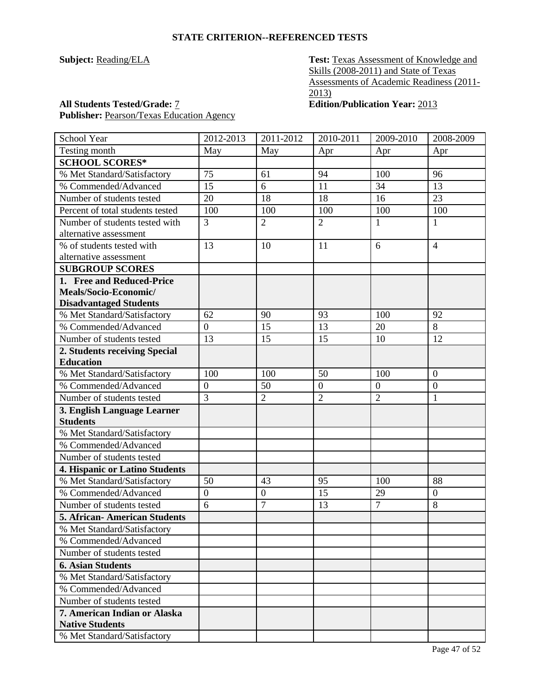**Subject:** Reading/ELA **Test:** Texas Assessment of Knowledge and Skills (2008-2011) and State of Texas Assessments of Academic Readiness (2011- 2013)

# **All Students Tested/Grade:** 7 **Edition/Publication Year:** 2013

Publisher: Pearson/Texas Education Agency

| School Year                          | 2012-2013        | 2011-2012        | 2010-2011        | 2009-2010        | 2008-2009        |
|--------------------------------------|------------------|------------------|------------------|------------------|------------------|
| Testing month                        | May              | May              | Apr              | Apr              | Apr              |
| <b>SCHOOL SCORES*</b>                |                  |                  |                  |                  |                  |
| % Met Standard/Satisfactory          | 75               | 61               | 94               | 100              | 96               |
| % Commended/Advanced                 | 15               | 6                | 11               | 34               | 13               |
| Number of students tested            | 20               | 18               | 18               | 16               | 23               |
| Percent of total students tested     | 100              | 100              | 100              | 100              | 100              |
| Number of students tested with       | 3                | $\overline{2}$   | $\overline{2}$   | $\mathbf{1}$     | 1                |
| alternative assessment               |                  |                  |                  |                  |                  |
| % of students tested with            | 13               | 10               | 11               | 6                | $\overline{4}$   |
| alternative assessment               |                  |                  |                  |                  |                  |
| <b>SUBGROUP SCORES</b>               |                  |                  |                  |                  |                  |
| 1. Free and Reduced-Price            |                  |                  |                  |                  |                  |
| Meals/Socio-Economic/                |                  |                  |                  |                  |                  |
| <b>Disadvantaged Students</b>        |                  |                  |                  |                  |                  |
| % Met Standard/Satisfactory          | 62               | 90               | 93               | 100              | 92               |
| % Commended/Advanced                 | $\overline{0}$   | 15               | 13               | 20               | 8                |
| Number of students tested            | 13               | 15               | 15               | 10               | 12               |
| 2. Students receiving Special        |                  |                  |                  |                  |                  |
| <b>Education</b>                     |                  |                  |                  |                  |                  |
| % Met Standard/Satisfactory          | 100              | 100              | 50               | 100              | $\overline{0}$   |
| % Commended/Advanced                 | $\boldsymbol{0}$ | 50               | $\boldsymbol{0}$ | $\boldsymbol{0}$ | $\boldsymbol{0}$ |
| Number of students tested            | 3                | $\overline{2}$   | $\overline{2}$   | $\overline{2}$   | 1                |
| 3. English Language Learner          |                  |                  |                  |                  |                  |
| <b>Students</b>                      |                  |                  |                  |                  |                  |
| % Met Standard/Satisfactory          |                  |                  |                  |                  |                  |
| % Commended/Advanced                 |                  |                  |                  |                  |                  |
| Number of students tested            |                  |                  |                  |                  |                  |
| 4. Hispanic or Latino Students       |                  |                  |                  |                  |                  |
| % Met Standard/Satisfactory          | 50               | 43               | 95               | 100              | 88               |
| % Commended/Advanced                 | $\boldsymbol{0}$ | $\boldsymbol{0}$ | 15               | 29               | $\boldsymbol{0}$ |
| Number of students tested            | 6                | 7                | 13               | $\overline{7}$   | 8                |
| <b>5. African- American Students</b> |                  |                  |                  |                  |                  |
| % Met Standard/Satisfactory          |                  |                  |                  |                  |                  |
| % Commended/Advanced                 |                  |                  |                  |                  |                  |
| Number of students tested            |                  |                  |                  |                  |                  |
| <b>6. Asian Students</b>             |                  |                  |                  |                  |                  |
| % Met Standard/Satisfactory          |                  |                  |                  |                  |                  |
| % Commended/Advanced                 |                  |                  |                  |                  |                  |
| Number of students tested            |                  |                  |                  |                  |                  |
| 7. American Indian or Alaska         |                  |                  |                  |                  |                  |
| <b>Native Students</b>               |                  |                  |                  |                  |                  |
| % Met Standard/Satisfactory          |                  |                  |                  |                  |                  |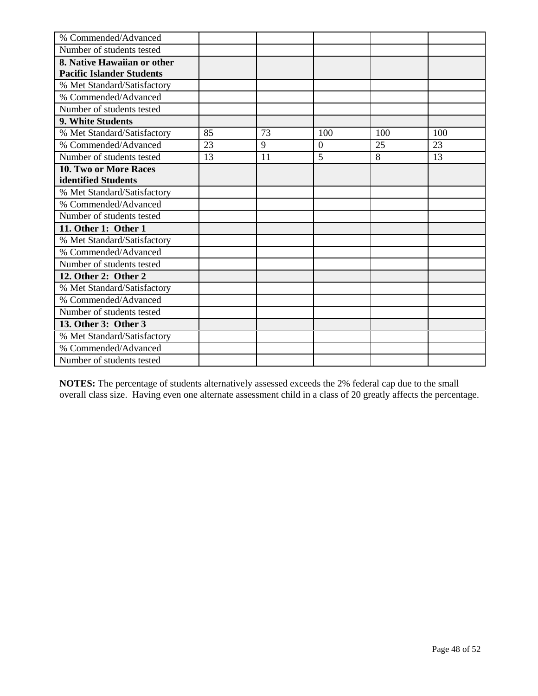| % Commended/Advanced             |    |    |                |     |     |
|----------------------------------|----|----|----------------|-----|-----|
| Number of students tested        |    |    |                |     |     |
| 8. Native Hawaiian or other      |    |    |                |     |     |
| <b>Pacific Islander Students</b> |    |    |                |     |     |
| % Met Standard/Satisfactory      |    |    |                |     |     |
| % Commended/Advanced             |    |    |                |     |     |
| Number of students tested        |    |    |                |     |     |
| 9. White Students                |    |    |                |     |     |
| % Met Standard/Satisfactory      | 85 | 73 | 100            | 100 | 100 |
| % Commended/Advanced             | 23 | 9  | $\overline{0}$ | 25  | 23  |
| Number of students tested        | 13 | 11 | 5              | 8   | 13  |
| 10. Two or More Races            |    |    |                |     |     |
| identified Students              |    |    |                |     |     |
| % Met Standard/Satisfactory      |    |    |                |     |     |
| % Commended/Advanced             |    |    |                |     |     |
| Number of students tested        |    |    |                |     |     |
| 11. Other 1: Other 1             |    |    |                |     |     |
| % Met Standard/Satisfactory      |    |    |                |     |     |
| % Commended/Advanced             |    |    |                |     |     |
| Number of students tested        |    |    |                |     |     |
| 12. Other 2: Other 2             |    |    |                |     |     |
| % Met Standard/Satisfactory      |    |    |                |     |     |
| % Commended/Advanced             |    |    |                |     |     |
| Number of students tested        |    |    |                |     |     |
| 13. Other 3: Other 3             |    |    |                |     |     |
| % Met Standard/Satisfactory      |    |    |                |     |     |
| % Commended/Advanced             |    |    |                |     |     |
| Number of students tested        |    |    |                |     |     |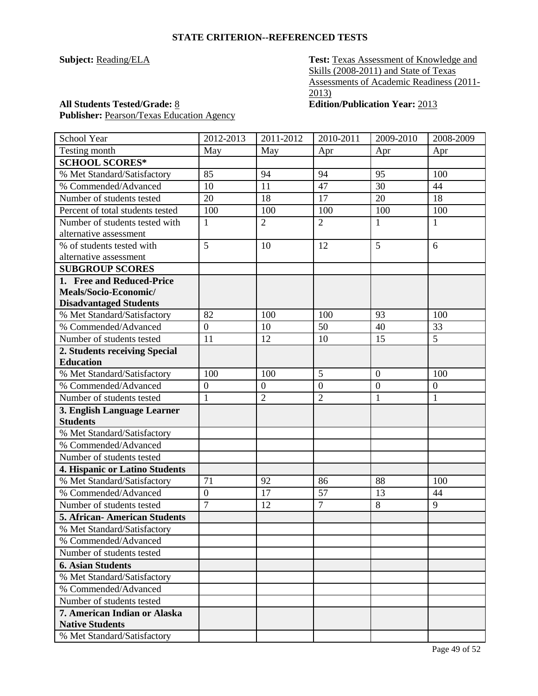**Subject:** Reading/ELA **Test:** Texas Assessment of Knowledge and Skills (2008-2011) and State of Texas Assessments of Academic Readiness (2011-  $\overline{2013}$ 

Publisher: Pearson/Texas Education Agency

**All Students Tested/Grade:** 8 **Edition/Publication Year:** 2013

| <b>School Year</b>                  | 2012-2013        | 2011-2012        | 2010-2011        | 2009-2010      | 2008-2009        |
|-------------------------------------|------------------|------------------|------------------|----------------|------------------|
| Testing month                       | May              | May              | Apr              | Apr            | Apr              |
| <b>SCHOOL SCORES*</b>               |                  |                  |                  |                |                  |
| % Met Standard/Satisfactory         | 85               | 94               | 94               | 95             | 100              |
| % Commended/Advanced                | 10               | 11               | 47               | 30             | 44               |
| Number of students tested           | 20               | 18               | 17               | 20             | 18               |
| Percent of total students tested    | 100              | 100              | 100              | 100            | 100              |
| Number of students tested with      | 1                | $\overline{2}$   | $\overline{2}$   | 1              | 1                |
| alternative assessment              |                  |                  |                  |                |                  |
| % of students tested with           | 5                | 10               | 12               | 5              | 6                |
| alternative assessment              |                  |                  |                  |                |                  |
| <b>SUBGROUP SCORES</b>              |                  |                  |                  |                |                  |
| 1. Free and Reduced-Price           |                  |                  |                  |                |                  |
| Meals/Socio-Economic/               |                  |                  |                  |                |                  |
| <b>Disadvantaged Students</b>       |                  |                  |                  |                |                  |
| % Met Standard/Satisfactory         | 82               | 100              | 100              | 93             | 100              |
| % Commended/Advanced                | $\overline{0}$   | 10               | 50               | 40             | 33               |
| Number of students tested           | 11               | 12               | 10               | 15             | 5                |
| 2. Students receiving Special       |                  |                  |                  |                |                  |
| <b>Education</b>                    |                  |                  |                  |                |                  |
| % Met Standard/Satisfactory         | 100              | 100              | 5                | $\overline{0}$ | 100              |
| % Commended/Advanced                | $\boldsymbol{0}$ | $\boldsymbol{0}$ | $\boldsymbol{0}$ | $\overline{0}$ | $\boldsymbol{0}$ |
| Number of students tested           | $\mathbf{1}$     | $\overline{2}$   | $\overline{2}$   | $\mathbf{1}$   | $\mathbf{1}$     |
| 3. English Language Learner         |                  |                  |                  |                |                  |
| <b>Students</b>                     |                  |                  |                  |                |                  |
| % Met Standard/Satisfactory         |                  |                  |                  |                |                  |
| % Commended/Advanced                |                  |                  |                  |                |                  |
| Number of students tested           |                  |                  |                  |                |                  |
| 4. Hispanic or Latino Students      |                  |                  |                  |                |                  |
| % Met Standard/Satisfactory         | 71               | 92               | 86               | 88             | 100              |
| % Commended/Advanced                | $\overline{0}$   | 17               | 57               | 13             | 44               |
| Number of students tested           | $\overline{7}$   | 12               | $\overline{7}$   | 8              | 9                |
| <b>5. African-American Students</b> |                  |                  |                  |                |                  |
| % Met Standard/Satisfactory         |                  |                  |                  |                |                  |
| % Commended/Advanced                |                  |                  |                  |                |                  |
| Number of students tested           |                  |                  |                  |                |                  |
| <b>6. Asian Students</b>            |                  |                  |                  |                |                  |
| % Met Standard/Satisfactory         |                  |                  |                  |                |                  |
| % Commended/Advanced                |                  |                  |                  |                |                  |
| Number of students tested           |                  |                  |                  |                |                  |
| 7. American Indian or Alaska        |                  |                  |                  |                |                  |
| <b>Native Students</b>              |                  |                  |                  |                |                  |
| % Met Standard/Satisfactory         |                  |                  |                  |                |                  |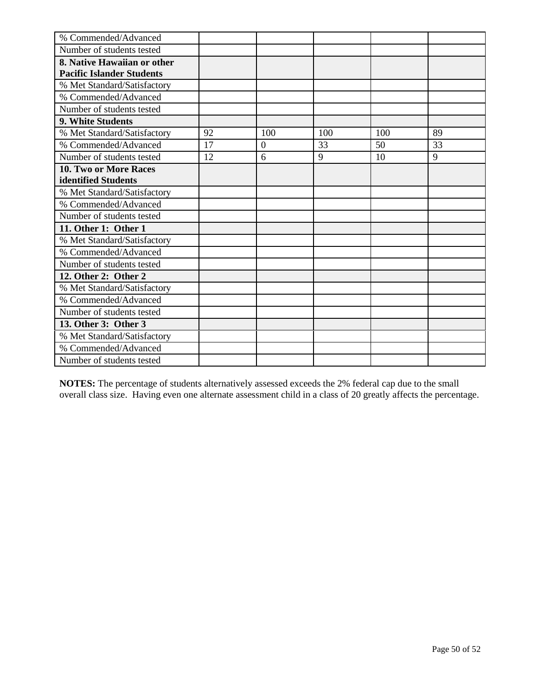| % Commended/Advanced             |    |          |     |     |    |
|----------------------------------|----|----------|-----|-----|----|
| Number of students tested        |    |          |     |     |    |
| 8. Native Hawaiian or other      |    |          |     |     |    |
| <b>Pacific Islander Students</b> |    |          |     |     |    |
| % Met Standard/Satisfactory      |    |          |     |     |    |
| % Commended/Advanced             |    |          |     |     |    |
| Number of students tested        |    |          |     |     |    |
| 9. White Students                |    |          |     |     |    |
| % Met Standard/Satisfactory      | 92 | 100      | 100 | 100 | 89 |
| % Commended/Advanced             | 17 | $\Omega$ | 33  | 50  | 33 |
| Number of students tested        | 12 | 6        | 9   | 10  | 9  |
| 10. Two or More Races            |    |          |     |     |    |
| identified Students              |    |          |     |     |    |
| % Met Standard/Satisfactory      |    |          |     |     |    |
| % Commended/Advanced             |    |          |     |     |    |
| Number of students tested        |    |          |     |     |    |
| 11. Other 1: Other 1             |    |          |     |     |    |
| % Met Standard/Satisfactory      |    |          |     |     |    |
| % Commended/Advanced             |    |          |     |     |    |
| Number of students tested        |    |          |     |     |    |
| 12. Other 2: Other 2             |    |          |     |     |    |
| % Met Standard/Satisfactory      |    |          |     |     |    |
| % Commended/Advanced             |    |          |     |     |    |
| Number of students tested        |    |          |     |     |    |
| 13. Other 3: Other 3             |    |          |     |     |    |
| % Met Standard/Satisfactory      |    |          |     |     |    |
| % Commended/Advanced             |    |          |     |     |    |
| Number of students tested        |    |          |     |     |    |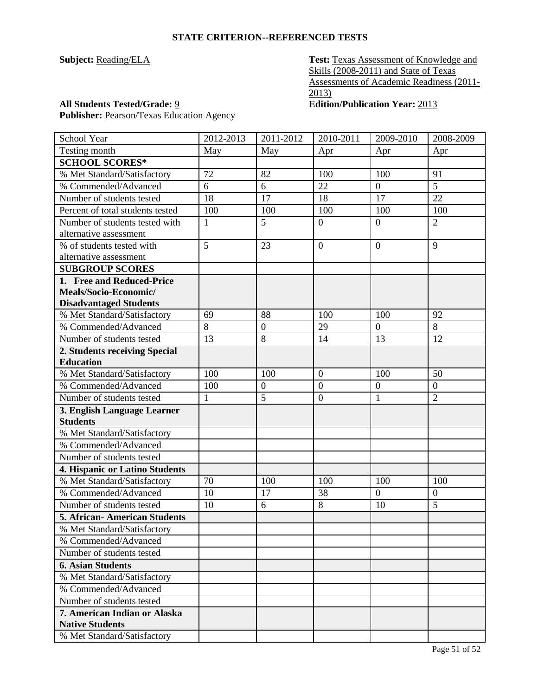**Subject:** Reading/ELA **Test:** Texas Assessment of Knowledge and Skills (2008-2011) and State of Texas Assessments of Academic Readiness (2011- 2013)

Publisher: Pearson/Texas Education Agency

**All Students Tested/Grade:** 9 **Edition/Publication Year:** 2013

| School Year                           | 2012-2013 | 2011-2012        | 2010-2011        | 2009-2010        | 2008-2009        |
|---------------------------------------|-----------|------------------|------------------|------------------|------------------|
| Testing month                         | May       | May              | Apr              | Apr              | Apr              |
| <b>SCHOOL SCORES*</b>                 |           |                  |                  |                  |                  |
| % Met Standard/Satisfactory           | 72        | 82               | 100              | 100              | 91               |
| % Commended/Advanced                  | 6         | 6                | 22               | $\overline{0}$   | 5                |
| Number of students tested             | 18        | 17               | 18               | 17               | 22               |
| Percent of total students tested      | 100       | 100              | 100              | 100              | 100              |
| Number of students tested with        | 1         | 5                | $\boldsymbol{0}$ | $\overline{0}$   | $\overline{2}$   |
| alternative assessment                |           |                  |                  |                  |                  |
| % of students tested with             | 5         | 23               | $\overline{0}$   | $\overline{0}$   | 9                |
| alternative assessment                |           |                  |                  |                  |                  |
| <b>SUBGROUP SCORES</b>                |           |                  |                  |                  |                  |
| 1. Free and Reduced-Price             |           |                  |                  |                  |                  |
| Meals/Socio-Economic/                 |           |                  |                  |                  |                  |
| <b>Disadvantaged Students</b>         |           |                  |                  |                  |                  |
| % Met Standard/Satisfactory           | 69        | 88               | 100              | 100              | 92               |
| % Commended/Advanced                  | 8         | $\boldsymbol{0}$ | 29               | $\boldsymbol{0}$ | 8                |
| Number of students tested             | 13        | $8\,$            | 14               | 13               | 12               |
| 2. Students receiving Special         |           |                  |                  |                  |                  |
| <b>Education</b>                      |           |                  |                  |                  |                  |
| % Met Standard/Satisfactory           | 100       | 100              | $\mathbf{0}$     | 100              | 50               |
| % Commended/Advanced                  | 100       | $\boldsymbol{0}$ | $\mathbf{0}$     | $\boldsymbol{0}$ | $\boldsymbol{0}$ |
| Number of students tested             | 1         | 5                | $\mathbf{0}$     | $\mathbf{1}$     | $\overline{2}$   |
| 3. English Language Learner           |           |                  |                  |                  |                  |
| <b>Students</b>                       |           |                  |                  |                  |                  |
| % Met Standard/Satisfactory           |           |                  |                  |                  |                  |
| % Commended/Advanced                  |           |                  |                  |                  |                  |
| Number of students tested             |           |                  |                  |                  |                  |
| <b>4. Hispanic or Latino Students</b> |           |                  |                  |                  |                  |
| % Met Standard/Satisfactory           | 70        | 100              | 100              | 100              | 100              |
| % Commended/Advanced                  | 10        | 17               | 38               | $\boldsymbol{0}$ | $\boldsymbol{0}$ |
| Number of students tested             | 10        | 6                | 8                | 10               | $\overline{5}$   |
| <b>5. African- American Students</b>  |           |                  |                  |                  |                  |
| % Met Standard/Satisfactory           |           |                  |                  |                  |                  |
| % Commended/Advanced                  |           |                  |                  |                  |                  |
| Number of students tested             |           |                  |                  |                  |                  |
| <b>6. Asian Students</b>              |           |                  |                  |                  |                  |
| % Met Standard/Satisfactory           |           |                  |                  |                  |                  |
| % Commended/Advanced                  |           |                  |                  |                  |                  |
| Number of students tested             |           |                  |                  |                  |                  |
| 7. American Indian or Alaska          |           |                  |                  |                  |                  |
| <b>Native Students</b>                |           |                  |                  |                  |                  |
| % Met Standard/Satisfactory           |           |                  |                  |                  |                  |